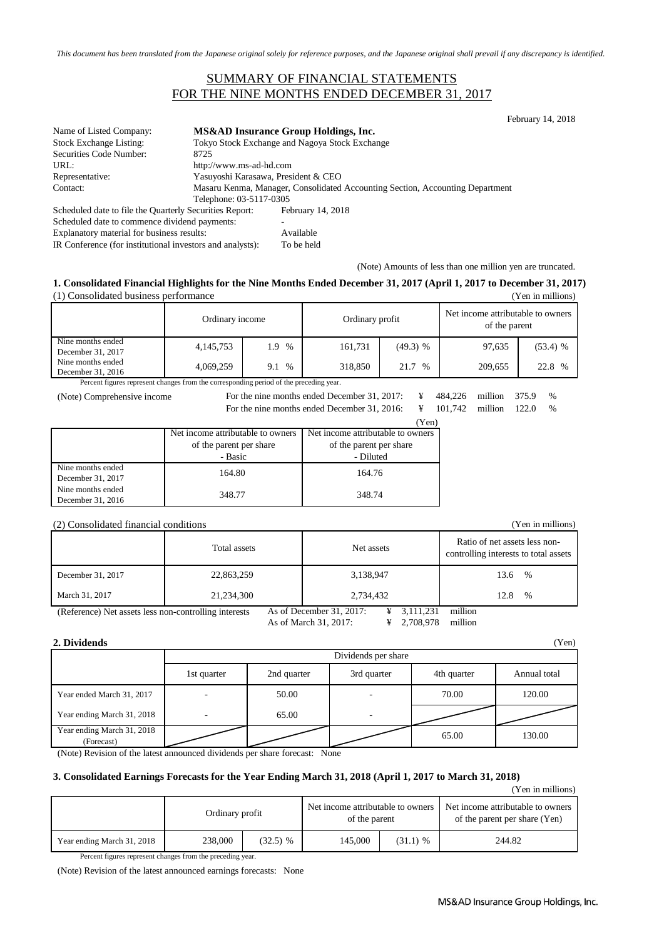*This document has been translated from the Japanese original solely for reference purposes, and the Japanese original shall prevail if any discrepancy is identified.*

### SUMMARY OF FINANCIAL STATEMENTS FOR THE NINE MONTHS ENDED DECEMBER 31, 2017

| Name of Listed Company:                                 |                         | MS&AD Insurance Group Holdings, Inc.                                          |  |  |  |
|---------------------------------------------------------|-------------------------|-------------------------------------------------------------------------------|--|--|--|
| <b>Stock Exchange Listing:</b>                          |                         | Tokyo Stock Exchange and Nagoya Stock Exchange                                |  |  |  |
| Securities Code Number:                                 | 8725                    |                                                                               |  |  |  |
| URL:                                                    |                         | http://www.ms-ad-hd.com                                                       |  |  |  |
| Representative:                                         |                         | Yasuyoshi Karasawa, President & CEO                                           |  |  |  |
| Contact:                                                |                         | Masaru Kenma, Manager, Consolidated Accounting Section, Accounting Department |  |  |  |
|                                                         | Telephone: 03-5117-0305 |                                                                               |  |  |  |
| Scheduled date to file the Quarterly Securities Report: |                         | February 14, 2018                                                             |  |  |  |
| Scheduled date to commence dividend payments:           |                         |                                                                               |  |  |  |
| Explanatory material for business results:              |                         | Available                                                                     |  |  |  |
|                                                         |                         |                                                                               |  |  |  |

IR Conference (for institutional investors and analysts): To be held

(Note) Amounts of less than one million yen are truncated.

#### **1. Consolidated Financial Highlights for the Nine Months Ended December 31, 2017 (April 1, 2017 to December 31, 2017)** (1) Consolidated business performance (Yen in millions)

|                                        | Ordinary income |             | Ordinary profit |            | Net income attributable to owners<br>of the parent |              |
|----------------------------------------|-----------------|-------------|-----------------|------------|----------------------------------------------------|--------------|
| Nine months ended<br>December 31, 2017 | 4,145,753       | $\%$<br>1.9 | 161.731         | $(49.3)$ % | 97,635                                             | $(53.4)$ %   |
| Nine months ended<br>December 31, 2016 | 4,069,259       | $\%$<br>9.1 | 318,850         | 21.7 %     | 209,655                                            | 22.8<br>$\%$ |

Percent figures represent changes from the corresponding period of the preceding year.

| (Note) Comprehensive income | For the nine months ended December 31, 2017: $\qquad \qquad \text{if}$               |       | 484.226 million 375.9 |  | $\frac{0}{0}$ |
|-----------------------------|--------------------------------------------------------------------------------------|-------|-----------------------|--|---------------|
|                             | For the nine months ended December 31, 2016: $\angle \angle$ 4 101,742 million 122.0 |       |                       |  | $\%$          |
|                             |                                                                                      | (Yen) |                       |  |               |
|                             | Not income ettributeble to owners. Not income ettributeble to owners                 |       |                       |  |               |

|                   | Net income attributable to owners | Net income attributable to owners |  |  |
|-------------------|-----------------------------------|-----------------------------------|--|--|
|                   | of the parent per share           | of the parent per share           |  |  |
|                   | - Basic                           | - Diluted                         |  |  |
| Nine months ended | 164.80                            | 164.76                            |  |  |
| December 31, 2017 |                                   |                                   |  |  |
| Nine months ended |                                   |                                   |  |  |
| December 31, 2016 | 348.77                            | 348.74                            |  |  |

#### (2) Consolidated financial conditions (Yen in millions)

| $\left(-\right)$ , $\left(-\right)$ , $\left(-\right)$ , $\left(-\right)$ , $\left(-\right)$ , $\left(-\right)$ , $\left(-\right)$ , $\left(-\right)$ , $\left(-\right)$ , $\left(-\right)$ , $\left(-\right)$ , $\left(-\right)$ , $\left(-\right)$ , $\left(-\right)$ , $\left(-\right)$ , $\left(-\right)$ , $\left(-\right)$ , $\left(-\right)$ , $\left(-\right)$ , $\left(-\right)$ , |              |                                       |                                                                        |  |  |
|---------------------------------------------------------------------------------------------------------------------------------------------------------------------------------------------------------------------------------------------------------------------------------------------------------------------------------------------------------------------------------------------|--------------|---------------------------------------|------------------------------------------------------------------------|--|--|
|                                                                                                                                                                                                                                                                                                                                                                                             | Total assets | Net assets                            | Ratio of net assets less non-<br>controlling interests to total assets |  |  |
| December 31, 2017                                                                                                                                                                                                                                                                                                                                                                           | 22,863,259   | 3,138,947                             | $\%$<br>13.6                                                           |  |  |
| March 31, 2017                                                                                                                                                                                                                                                                                                                                                                              | 21,234,300   | 2,734,432                             | $\%$<br>12.8                                                           |  |  |
| (Reference) Net assets less non-controlling interests                                                                                                                                                                                                                                                                                                                                       |              | As of December 31, 2017:<br>3,111,231 | million                                                                |  |  |

As of March 31, 2017: ¥ 2,708,978 million

#### **2. Dividends** (Yen)

|                                          | Dividends per share |             |             |             |              |  |
|------------------------------------------|---------------------|-------------|-------------|-------------|--------------|--|
|                                          | 1st quarter         | 2nd quarter | 3rd quarter | 4th quarter | Annual total |  |
| Year ended March 31, 2017                |                     | 50.00       | -           | 70.00       | 120.00       |  |
| Year ending March 31, 2018               |                     | 65.00       | ٠           |             |              |  |
| Year ending March 31, 2018<br>(Forecast) |                     |             |             | 65.00       | 130.00       |  |

(Note) Revision of the latest announced dividends per share forecast: None

#### **3. Consolidated Earnings Forecasts for the Year Ending March 31, 2018 (April 1, 2017 to March 31, 2018)**

(Yen in millions)

|                            | Ordinary profit |            | Net income attributable to owners<br>of the parent |            | Net income attributable to owners<br>of the parent per share (Yen) |
|----------------------------|-----------------|------------|----------------------------------------------------|------------|--------------------------------------------------------------------|
| Year ending March 31, 2018 | 238,000         | $(32.5)$ % | 145,000                                            | $(31.1)$ % | 244.82                                                             |

Percent figures represent changes from the preceding year.

(Note) Revision of the latest announced earnings forecasts: None

February 14, 2018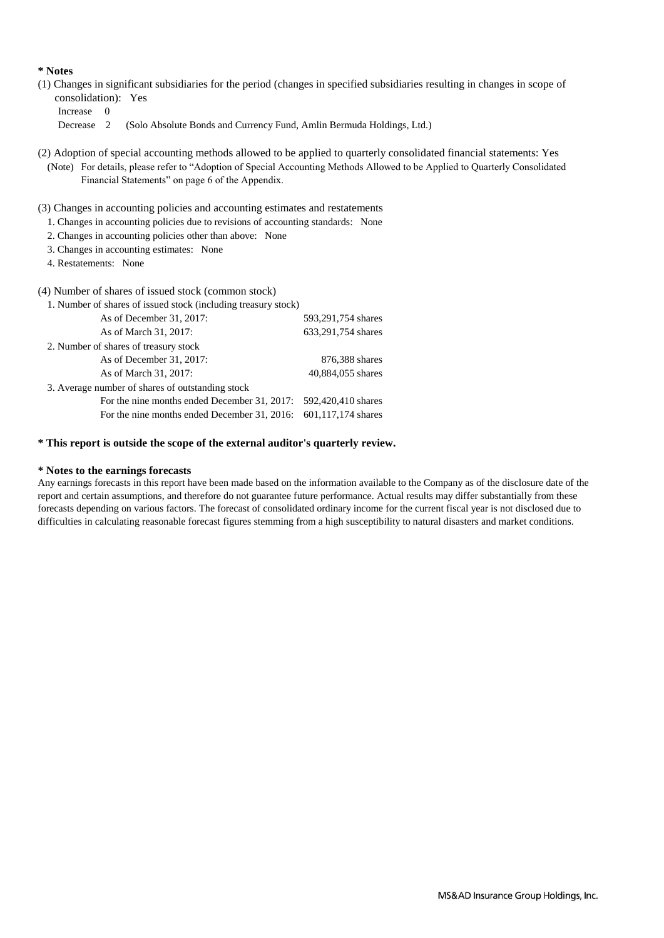#### **\* Notes**

- (1) Changes in significant subsidiaries for the period (changes in specified subsidiaries resulting in changes in scope of consolidation): Yes
	- Increase 0

Decrease 2 (Solo Absolute Bonds and Currency Fund, Amlin Bermuda Holdings, Ltd.)

- (2) Adoption of special accounting methods allowed to be applied to quarterly consolidated financial statements: Yes (Note) For details, please refer to "Adoption of Special Accounting Methods Allowed to be Applied to Quarterly Consolidated Financial Statements" on page 6 of the Appendix.
- (3) Changes in accounting policies and accounting estimates and restatements
	- 1. Changes in accounting policies due to revisions of accounting standards: None
	- 2. Changes in accounting policies other than above: None
	- 3. Changes in accounting estimates: None
	- 4. Restatements: None

#### (4) Number of shares of issued stock (common stock)

| 1. Number of shares of issued stock (including treasury stock)    |                    |
|-------------------------------------------------------------------|--------------------|
| As of December 31, 2017:                                          | 593,291,754 shares |
| As of March 31, 2017:                                             | 633,291,754 shares |
| 2. Number of shares of treasury stock                             |                    |
| As of December 31, 2017:                                          | 876,388 shares     |
| As of March 31, 2017:                                             | 40,884,055 shares  |
| 3. Average number of shares of outstanding stock                  |                    |
| For the nine months ended December 31, 2017: $592,420,410$ shares |                    |
| For the nine months ended December 31, 2016: 601,117,174 shares   |                    |
|                                                                   |                    |

#### **\* This report is outside the scope of the external auditor's quarterly review.**

#### **\* Notes to the earnings forecasts**

Any earnings forecasts in this report have been made based on the information available to the Company as of the disclosure date of the report and certain assumptions, and therefore do not guarantee future performance. Actual results may differ substantially from these forecasts depending on various factors. The forecast of consolidated ordinary income for the current fiscal year is not disclosed due to difficulties in calculating reasonable forecast figures stemming from a high susceptibility to natural disasters and market conditions.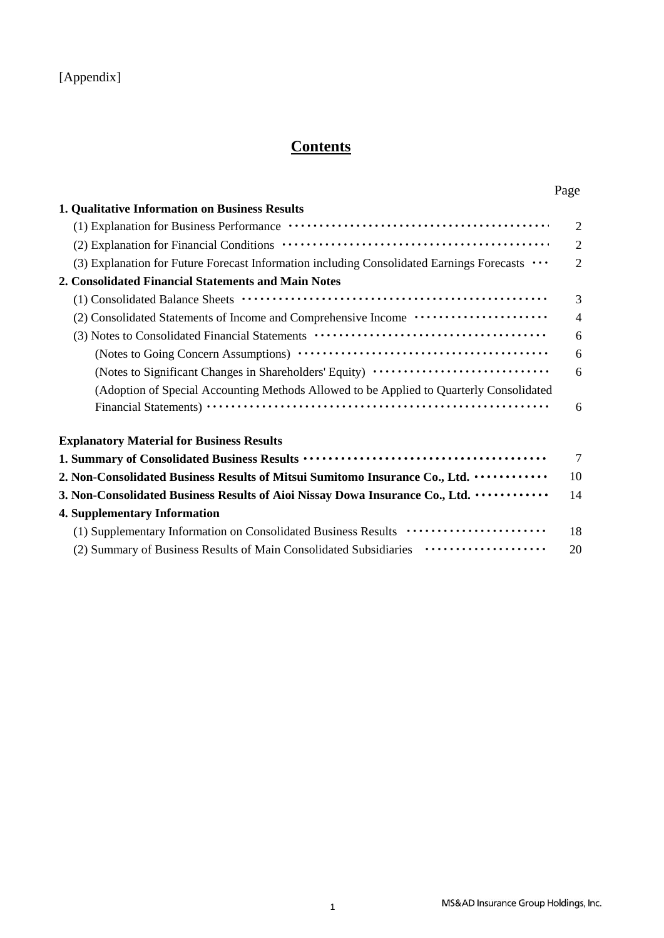## [Appendix]

# **Contents**

|                                                                                                                    | Page           |  |
|--------------------------------------------------------------------------------------------------------------------|----------------|--|
| 1. Qualitative Information on Business Results                                                                     |                |  |
|                                                                                                                    | $\overline{2}$ |  |
|                                                                                                                    | $\mathfrak{D}$ |  |
| (3) Explanation for Future Forecast Information including Consolidated Earnings Forecasts $\cdots$                 | 2              |  |
| 2. Consolidated Financial Statements and Main Notes                                                                |                |  |
|                                                                                                                    | 3              |  |
|                                                                                                                    | $\overline{4}$ |  |
| (3) Notes to Consolidated Financial Statements (and the context of the consolidated Financial Statements (context) | 6              |  |
|                                                                                                                    | 6              |  |
| (Notes to Significant Changes in Shareholders' Equity) ··························                                  | 6              |  |
| (Adoption of Special Accounting Methods Allowed to be Applied to Quarterly Consolidated                            |                |  |
|                                                                                                                    | 6              |  |
| <b>Explanatory Material for Business Results</b>                                                                   |                |  |
|                                                                                                                    |                |  |
| 2. Non-Consolidated Business Results of Mitsui Sumitomo Insurance Co., Ltd.                                        | 10             |  |
| 3. Non-Consolidated Business Results of Aioi Nissay Dowa Insurance Co., Ltd.                                       | 14             |  |
| <b>4. Supplementary Information</b>                                                                                |                |  |
| (1) Supplementary Information on Consolidated Business Results ······················                              | 18             |  |
| (2) Summary of Business Results of Main Consolidated Subsidiaries                                                  | 20             |  |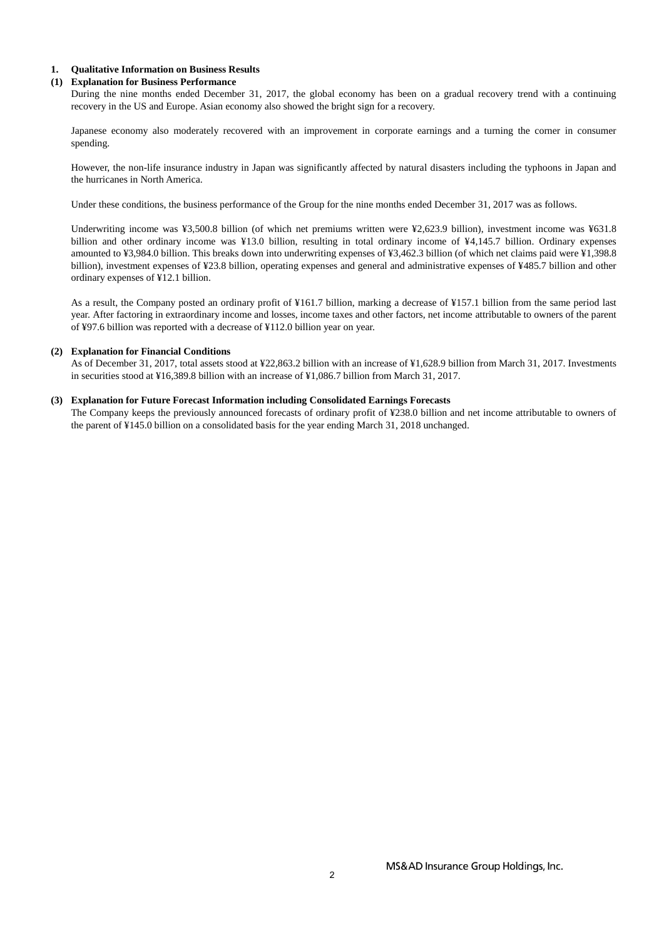#### **1. Qualitative Information on Business Results**

#### **(1) Explanation for Business Performance**

During the nine months ended December 31, 2017, the global economy has been on a gradual recovery trend with a continuing recovery in the US and Europe. Asian economy also showed the bright sign for a recovery.

Japanese economy also moderately recovered with an improvement in corporate earnings and a turning the corner in consumer spending.

However, the non-life insurance industry in Japan was significantly affected by natural disasters including the typhoons in Japan and the hurricanes in North America.

Under these conditions, the business performance of the Group for the nine months ended December 31, 2017 was as follows.

Underwriting income was ¥3,500.8 billion (of which net premiums written were ¥2,623.9 billion), investment income was ¥631.8 billion and other ordinary income was ¥13.0 billion, resulting in total ordinary income of ¥4,145.7 billion. Ordinary expenses amounted to ¥3,984.0 billion. This breaks down into underwriting expenses of ¥3,462.3 billion (of which net claims paid were ¥1,398.8 billion), investment expenses of ¥23.8 billion, operating expenses and general and administrative expenses of ¥485.7 billion and other ordinary expenses of ¥12.1 billion.

As a result, the Company posted an ordinary profit of ¥161.7 billion, marking a decrease of ¥157.1 billion from the same period last year. After factoring in extraordinary income and losses, income taxes and other factors, net income attributable to owners of the parent of ¥97.6 billion was reported with a decrease of ¥112.0 billion year on year.

#### **(2) Explanation for Financial Conditions**

As of December 31, 2017, total assets stood at ¥22,863.2 billion with an increase of ¥1,628.9 billion from March 31, 2017. Investments in securities stood at ¥16,389.8 billion with an increase of ¥1,086.7 billion from March 31, 2017.

#### **(3) Explanation for Future Forecast Information including Consolidated Earnings Forecasts**

The Company keeps the previously announced forecasts of ordinary profit of ¥238.0 billion and net income attributable to owners of the parent of ¥145.0 billion on a consolidated basis for the year ending March 31, 2018 unchanged.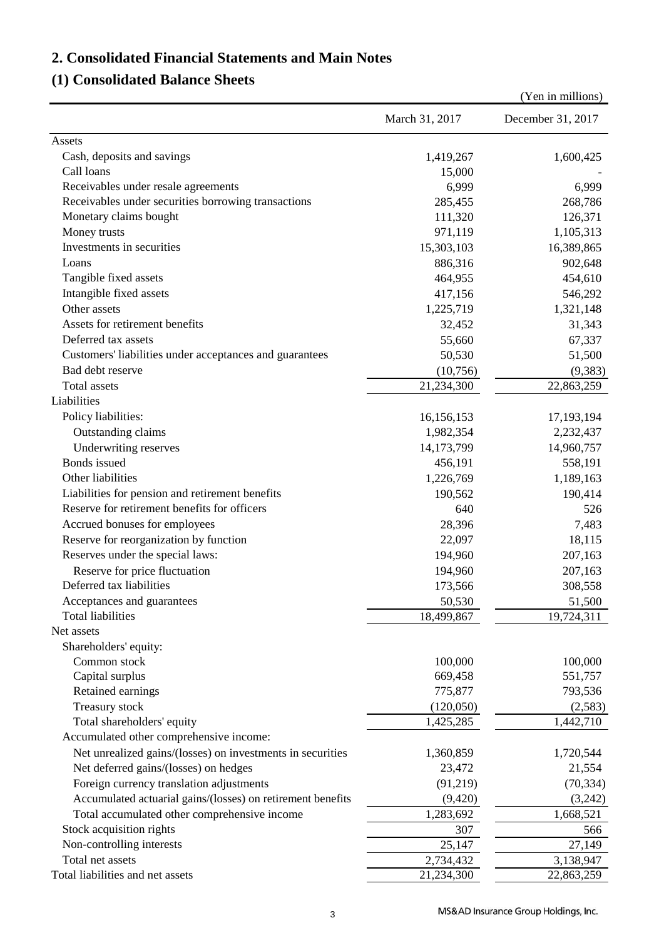## **2. Consolidated Financial Statements and Main Notes**

## **(1) Consolidated Balance Sheets**

|                                                             |                         | (Yen in millions)    |
|-------------------------------------------------------------|-------------------------|----------------------|
|                                                             | March 31, 2017          | December 31, 2017    |
| Assets                                                      |                         |                      |
| Cash, deposits and savings                                  | 1,419,267               | 1,600,425            |
| Call loans                                                  | 15,000                  |                      |
| Receivables under resale agreements                         | 6,999                   | 6,999                |
| Receivables under securities borrowing transactions         | 285,455                 | 268,786              |
| Monetary claims bought                                      | 111,320                 | 126,371              |
| Money trusts                                                | 971,119                 | 1,105,313            |
| Investments in securities                                   | 15,303,103              | 16,389,865           |
| Loans                                                       | 886,316                 | 902,648              |
| Tangible fixed assets                                       | 464,955                 | 454,610              |
| Intangible fixed assets                                     | 417,156                 | 546,292              |
| Other assets                                                | 1,225,719               | 1,321,148            |
| Assets for retirement benefits                              | 32,452                  | 31,343               |
| Deferred tax assets                                         | 55,660                  | 67,337               |
| Customers' liabilities under acceptances and guarantees     | 50,530                  | 51,500               |
| Bad debt reserve                                            | (10,756)                | (9, 383)             |
| Total assets                                                | 21,234,300              | 22,863,259           |
| Liabilities                                                 |                         |                      |
| Policy liabilities:                                         | 16,156,153              | 17, 193, 194         |
| Outstanding claims                                          | 1,982,354               | 2,232,437            |
| Underwriting reserves                                       | 14,173,799              | 14,960,757           |
| Bonds issued                                                | 456,191                 | 558,191              |
| Other liabilities                                           | 1,226,769               | 1,189,163            |
| Liabilities for pension and retirement benefits             | 190,562                 | 190,414              |
| Reserve for retirement benefits for officers                | 640                     | 526                  |
| Accrued bonuses for employees                               | 28,396                  | 7,483                |
| Reserve for reorganization by function                      | 22,097                  | 18,115               |
| Reserves under the special laws:                            | 194,960                 | 207,163              |
| Reserve for price fluctuation                               | 194,960                 | 207,163              |
| Deferred tax liabilities                                    | 173,566                 | 308,558              |
|                                                             |                         |                      |
| Acceptances and guarantees<br><b>Total liabilities</b>      | 50,530                  | 51,500<br>19,724,311 |
| Net assets                                                  | 18,499,867              |                      |
| Shareholders' equity:                                       |                         |                      |
| Common stock                                                | 100,000                 | 100,000              |
| Capital surplus                                             | 669,458                 | 551,757              |
| Retained earnings                                           | 775,877                 | 793,536              |
| Treasury stock                                              | (120,050)               | (2,583)              |
| Total shareholders' equity                                  | 1,425,285               | 1,442,710            |
| Accumulated other comprehensive income:                     |                         |                      |
| Net unrealized gains/(losses) on investments in securities  | 1,360,859               | 1,720,544            |
|                                                             | 23,472                  | 21,554               |
| Net deferred gains/(losses) on hedges                       |                         |                      |
| Foreign currency translation adjustments                    | (91,219)                | (70, 334)            |
| Accumulated actuarial gains/(losses) on retirement benefits | (9,420)                 | (3,242)              |
| Total accumulated other comprehensive income                | 1,283,692               | 1,668,521            |
| Stock acquisition rights                                    | 307                     | 566                  |
| Non-controlling interests                                   | 25,147                  | 27,149               |
| Total net assets                                            | 2,734,432               | 3,138,947            |
| Total liabilities and net assets                            | $\overline{21,234,300}$ | 22,863,259           |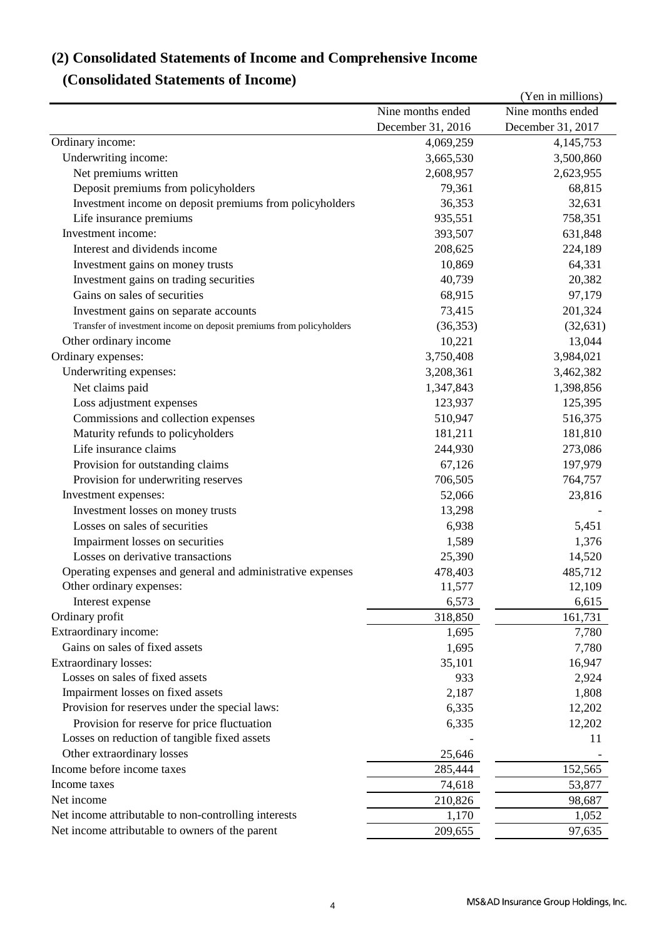# **(2) Consolidated Statements of Income and Comprehensive Income**

## **(Consolidated Statements of Income)**

|                                                                      |                   | (Yen in millions) |
|----------------------------------------------------------------------|-------------------|-------------------|
|                                                                      | Nine months ended | Nine months ended |
|                                                                      | December 31, 2016 | December 31, 2017 |
| Ordinary income:                                                     | 4,069,259         | 4,145,753         |
| Underwriting income:                                                 | 3,665,530         | 3,500,860         |
| Net premiums written                                                 | 2,608,957         | 2,623,955         |
| Deposit premiums from policyholders                                  | 79,361            | 68,815            |
| Investment income on deposit premiums from policyholders             | 36,353            | 32,631            |
| Life insurance premiums                                              | 935,551           | 758,351           |
| Investment income:                                                   | 393,507           | 631,848           |
| Interest and dividends income                                        | 208,625           | 224,189           |
| Investment gains on money trusts                                     | 10,869            | 64,331            |
| Investment gains on trading securities                               | 40,739            | 20,382            |
| Gains on sales of securities                                         | 68,915            | 97,179            |
| Investment gains on separate accounts                                | 73,415            | 201,324           |
| Transfer of investment income on deposit premiums from policyholders | (36, 353)         | (32, 631)         |
| Other ordinary income                                                | 10,221            | 13,044            |
| Ordinary expenses:                                                   | 3,750,408         | 3,984,021         |
| Underwriting expenses:                                               | 3,208,361         | 3,462,382         |
| Net claims paid                                                      | 1,347,843         | 1,398,856         |
| Loss adjustment expenses                                             | 123,937           | 125,395           |
| Commissions and collection expenses                                  | 510,947           | 516,375           |
| Maturity refunds to policyholders                                    | 181,211           | 181,810           |
| Life insurance claims                                                | 244,930           | 273,086           |
| Provision for outstanding claims                                     | 67,126            | 197,979           |
| Provision for underwriting reserves                                  | 706,505           | 764,757           |
| Investment expenses:                                                 | 52,066            | 23,816            |
| Investment losses on money trusts                                    | 13,298            |                   |
| Losses on sales of securities                                        | 6,938             | 5,451             |
| Impairment losses on securities                                      | 1,589             | 1,376             |
| Losses on derivative transactions                                    | 25,390            | 14,520            |
| Operating expenses and general and administrative expenses           | 478,403           | 485,712           |
| Other ordinary expenses:                                             | 11,577            | 12,109            |
| Interest expense                                                     | 6,573             | 6,615             |
| Ordinary profit                                                      | 318,850           | 161,731           |
| Extraordinary income:                                                | 1,695             | 7,780             |
| Gains on sales of fixed assets                                       | 1,695             | 7,780             |
| <b>Extraordinary losses:</b>                                         | 35,101            | 16,947            |
| Losses on sales of fixed assets                                      | 933               | 2,924             |
| Impairment losses on fixed assets                                    | 2,187             | 1,808             |
| Provision for reserves under the special laws:                       | 6,335             | 12,202            |
| Provision for reserve for price fluctuation                          | 6,335             | 12,202            |
| Losses on reduction of tangible fixed assets                         |                   | 11                |
| Other extraordinary losses                                           | 25,646            |                   |
| Income before income taxes                                           |                   | 152,565           |
| Income taxes                                                         | 285,444<br>74,618 | 53,877            |
| Net income                                                           |                   |                   |
| Net income attributable to non-controlling interests                 | 210,826           | 98,687            |
|                                                                      | 1,170             | 1,052             |
| Net income attributable to owners of the parent                      | 209,655           | 97,635            |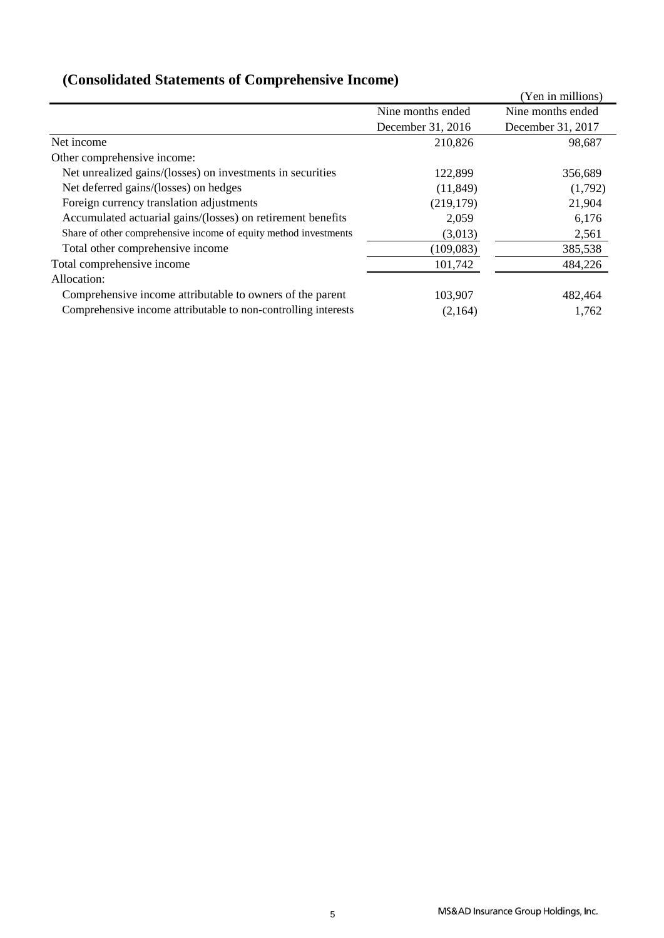|                                                                  |                   | (Yen in millions) |
|------------------------------------------------------------------|-------------------|-------------------|
|                                                                  | Nine months ended | Nine months ended |
|                                                                  | December 31, 2016 | December 31, 2017 |
| Net income                                                       | 210,826           | 98,687            |
| Other comprehensive income:                                      |                   |                   |
| Net unrealized gains/(losses) on investments in securities       | 122,899           | 356,689           |
| Net deferred gains/(losses) on hedges                            | (11, 849)         | (1,792)           |
| Foreign currency translation adjustments                         | (219, 179)        | 21,904            |
| Accumulated actuarial gains/(losses) on retirement benefits      | 2,059             | 6,176             |
| Share of other comprehensive income of equity method investments | (3,013)           | 2,561             |
| Total other comprehensive income                                 | (109, 083)        | 385,538           |
| Total comprehensive income                                       | 101,742           | 484,226           |
| Allocation:                                                      |                   |                   |
| Comprehensive income attributable to owners of the parent        | 103,907           | 482,464           |
| Comprehensive income attributable to non-controlling interests   | (2,164)           | 1,762             |

# **(Consolidated Statements of Comprehensive Income)**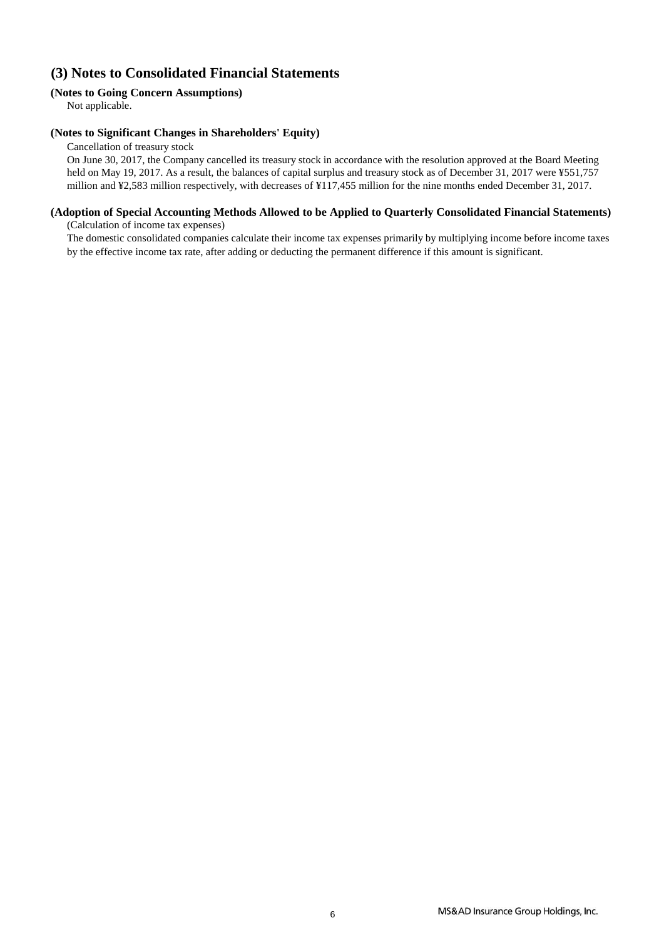## **(3) Notes to Consolidated Financial Statements**

### **(Notes to Going Concern Assumptions)**

Not applicable.

#### **(Notes to Significant Changes in Shareholders' Equity)**

Cancellation of treasury stock

On June 30, 2017, the Company cancelled its treasury stock in accordance with the resolution approved at the Board Meeting held on May 19, 2017. As a result, the balances of capital surplus and treasury stock as of December 31, 2017 were ¥551,757 million and ¥2,583 million respectively, with decreases of ¥117,455 million for the nine months ended December 31, 2017.

### **(Adoption of Special Accounting Methods Allowed to be Applied to Quarterly Consolidated Financial Statements)**

(Calculation of income tax expenses)

The domestic consolidated companies calculate their income tax expenses primarily by multiplying income before income taxes by the effective income tax rate, after adding or deducting the permanent difference if this amount is significant.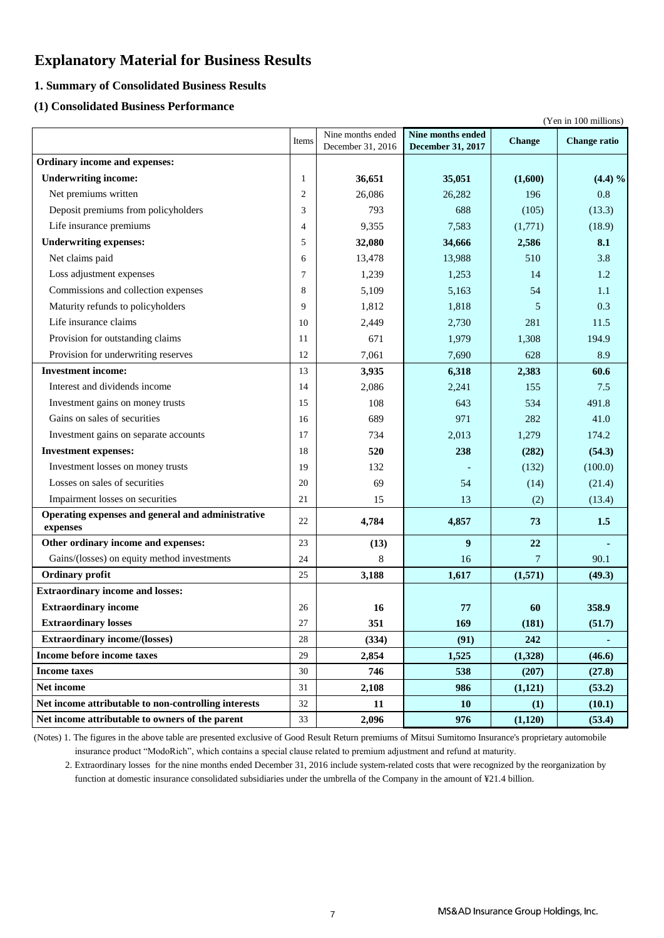## **Explanatory Material for Business Results**

### **1. Summary of Consolidated Business Results**

### **(1) Consolidated Business Performance**

|                                                      |                |                   |                   |               | (Yen in 100 millions) |
|------------------------------------------------------|----------------|-------------------|-------------------|---------------|-----------------------|
|                                                      | Items          | Nine months ended | Nine months ended | <b>Change</b> | <b>Change ratio</b>   |
| Ordinary income and expenses:                        |                | December 31, 2016 | December 31, 2017 |               |                       |
|                                                      |                |                   |                   |               |                       |
| <b>Underwriting income:</b>                          | 1              | 36,651            | 35,051            | (1,600)       | (4.4) %               |
| Net premiums written                                 | $\overline{2}$ | 26,086            | 26,282            | 196           | 0.8                   |
| Deposit premiums from policyholders                  | 3              | 793               | 688               | (105)         | (13.3)                |
| Life insurance premiums                              | 4              | 9,355             | 7,583             | (1,771)       | (18.9)                |
| <b>Underwriting expenses:</b>                        | 5              | 32,080            | 34,666            | 2,586         | 8.1                   |
| Net claims paid                                      | 6              | 13,478            | 13,988            | 510           | 3.8                   |
| Loss adjustment expenses                             | 7              | 1,239             | 1,253             | 14            | 1.2                   |
| Commissions and collection expenses                  | 8              | 5,109             | 5,163             | 54            | 1.1                   |
| Maturity refunds to policyholders                    | 9              | 1,812             | 1,818             | 5             | 0.3                   |
| Life insurance claims                                | 10             | 2,449             | 2,730             | 281           | 11.5                  |
| Provision for outstanding claims                     | 11             | 671               | 1,979             | 1,308         | 194.9                 |
| Provision for underwriting reserves                  | 12             | 7,061             | 7,690             | 628           | 8.9                   |
| <b>Investment income:</b>                            | 13             | 3,935             | 6,318             | 2,383         | 60.6                  |
| Interest and dividends income                        | 14             | 2,086             | 2,241             | 155           | 7.5                   |
| Investment gains on money trusts                     | 15             | 108               | 643               | 534           | 491.8                 |
| Gains on sales of securities                         | 16             | 689               | 971               | 282           | 41.0                  |
| Investment gains on separate accounts                | 17             | 734               | 2,013             | 1,279         | 174.2                 |
| <b>Investment expenses:</b>                          | 18             | 520               | 238               | (282)         | (54.3)                |
| Investment losses on money trusts                    | 19             | 132               |                   | (132)         | (100.0)               |
| Losses on sales of securities                        | 20             | 69                | 54                | (14)          | (21.4)                |
| Impairment losses on securities                      | 21             | 15                | 13                | (2)           | (13.4)                |
| Operating expenses and general and administrative    | 22             | 4,784             | 4,857             | 73            | 1.5                   |
| expenses                                             |                |                   |                   |               |                       |
| Other ordinary income and expenses:                  | 23             | (13)              | 9                 | 22            |                       |
| Gains/(losses) on equity method investments          | 24             | 8                 | 16                | $\tau$        | 90.1                  |
| <b>Ordinary</b> profit                               | 25             | 3,188             | 1,617             | (1,571)       | (49.3)                |
| <b>Extraordinary income and losses:</b>              |                |                   |                   |               |                       |
| <b>Extraordinary income</b>                          | 26             | 16                | 77                | 60            | 358.9                 |
| <b>Extraordinary losses</b>                          | 27             | 351               | 169               | (181)         | (51.7)                |
| <b>Extraordinary income/(losses)</b>                 | 28             | (334)             | (91)              | 242           |                       |
| Income before income taxes                           | 29             | 2,854             | 1,525             | (1,328)       | (46.6)                |
| <b>Income taxes</b>                                  | 30             | 746               | 538               | (207)         | (27.8)                |
| Net income                                           | 31             | 2,108             | 986               | (1,121)       | (53.2)                |
| Net income attributable to non-controlling interests | 32             | 11                | 10                | (1)           | (10.1)                |
| Net income attributable to owners of the parent      | 33             | 2,096             | 976               | (1,120)       | (53.4)                |

 insurance product "ModoRich", which contains a special clause related to premium adjustment and refund at maturity. (Notes) 1. The figures in the above table are presented exclusive of Good Result Return premiums of Mitsui Sumitomo Insurance's proprietary automobile

 2. Extraordinary losses for the nine months ended December 31, 2016 include system-related costs that were recognized by the reorganization by function at domestic insurance consolidated subsidiaries under the umbrella of the Company in the amount of ¥21.4 billion.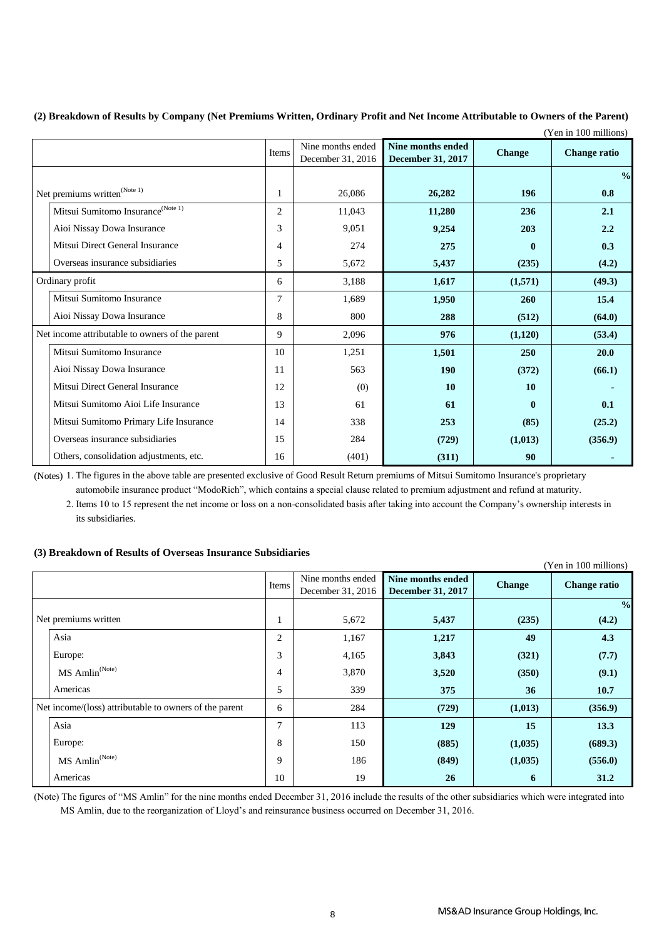| (2) Breakdown of Results by Company (Net Premiums Written, Ordinary Profit and Net Income Attributable to Owners of the Parent) |
|---------------------------------------------------------------------------------------------------------------------------------|
| $(37 \t100 \t11')$                                                                                                              |

|                                                  |                |                                        |                                                      |               | (Yen in 100 millions) |
|--------------------------------------------------|----------------|----------------------------------------|------------------------------------------------------|---------------|-----------------------|
|                                                  | <b>Items</b>   | Nine months ended<br>December 31, 2016 | <b>Nine months ended</b><br><b>December 31, 2017</b> | <b>Change</b> | <b>Change ratio</b>   |
|                                                  |                |                                        |                                                      |               | $\frac{0}{0}$         |
| Net premiums written $^{\text{(Note 1)}}$        |                | 26,086                                 | 26,282                                               | 196           | 0.8                   |
| Mitsui Sumitomo Insurance<br>$^{\rm (Note \ 1)}$ | $\overline{c}$ | 11,043                                 | 11,280                                               | 236           | 2.1                   |
| Aioi Nissay Dowa Insurance                       | 3              | 9,051                                  | 9,254                                                | 203           | 2.2                   |
| Mitsui Direct General Insurance                  | 4              | 274                                    | 275                                                  | $\bf{0}$      | 0.3                   |
| Overseas insurance subsidiaries                  | 5              | 5,672                                  | 5,437                                                | (235)         | (4.2)                 |
| Ordinary profit                                  | 6              | 3,188                                  | 1,617                                                | (1,571)       | (49.3)                |
| Mitsui Sumitomo Insurance                        | 7              | 1,689                                  | 1,950                                                | 260           | 15.4                  |
| Aioi Nissay Dowa Insurance                       | 8              | 800                                    | 288                                                  | (512)         | (64.0)                |
| Net income attributable to owners of the parent  | 9              | 2,096                                  | 976                                                  | (1,120)       | (53.4)                |
| Mitsui Sumitomo Insurance                        | 10             | 1,251                                  | 1,501                                                | 250           | 20.0                  |
| Aioi Nissay Dowa Insurance                       | 11             | 563                                    | 190                                                  | (372)         | (66.1)                |
| Mitsui Direct General Insurance                  | 12             | (0)                                    | 10                                                   | 10            |                       |
| Mitsui Sumitomo Aioi Life Insurance              | 13             | 61                                     | 61                                                   | $\bf{0}$      | 0.1                   |
| Mitsui Sumitomo Primary Life Insurance           | 14             | 338                                    | 253                                                  | (85)          | (25.2)                |
| Overseas insurance subsidiaries                  | 15             | 284                                    | (729)                                                | (1,013)       | (356.9)               |
| Others, consolidation adjustments, etc.          | 16             | (401)                                  | (311)                                                | 90            |                       |

(Notes) 1. The figures in the above table are presented exclusive of Good Result Return premiums of Mitsui Sumitomo Insurance's proprietary

automobile insurance product "ModoRich", which contains a special clause related to premium adjustment and refund at maturity.

 its subsidiaries. 2. Items 10 to 15 represent the net income or loss on a non-consolidated basis after taking into account the Company's ownership interests in

### **(3) Breakdown of Results of Overseas Insurance Subsidiaries**

| (Yen in 100 millions)                                  |              |                   |                          |               |                     |  |  |  |
|--------------------------------------------------------|--------------|-------------------|--------------------------|---------------|---------------------|--|--|--|
|                                                        |              | Nine months ended | Nine months ended        | <b>Change</b> | <b>Change ratio</b> |  |  |  |
|                                                        | <b>Items</b> | December 31, 2016 | <b>December 31, 2017</b> |               |                     |  |  |  |
|                                                        |              |                   |                          |               | $\frac{6}{6}$       |  |  |  |
| Net premiums written                                   | -1           | 5,672             | 5,437                    | (235)         | (4.2)               |  |  |  |
| Asia                                                   | 2            | 1,167             | 1,217                    | 49            | 4.3                 |  |  |  |
| Europe:                                                | 3            | 4,165             | 3,843                    | (321)         | (7.7)               |  |  |  |
| MS Amlin <sup>(Note)</sup>                             | 4            | 3,870             | 3,520                    | (350)         | (9.1)               |  |  |  |
| Americas                                               | 5            | 339               | 375                      | 36            | 10.7                |  |  |  |
| Net income/(loss) attributable to owners of the parent | 6            | 284               | (729)                    | (1,013)       | (356.9)             |  |  |  |
| Asia                                                   | 7            | 113               | 129                      | 15            | 13.3                |  |  |  |
| Europe:                                                | 8            | 150               | (885)                    | (1,035)       | (689.3)             |  |  |  |
| $MS$ Amlin <sup>(Note)</sup>                           | 9            | 186               | (849)                    | (1,035)       | (556.0)             |  |  |  |
| Americas                                               | 10           | 19                | 26                       | 6             | 31.2                |  |  |  |

(Note) The figures of "MS Amlin" for the nine months ended December 31, 2016 include the results of the other subsidiaries which were integrated into MS Amlin, due to the reorganization of Lloyd's and reinsurance business occurred on December 31, 2016.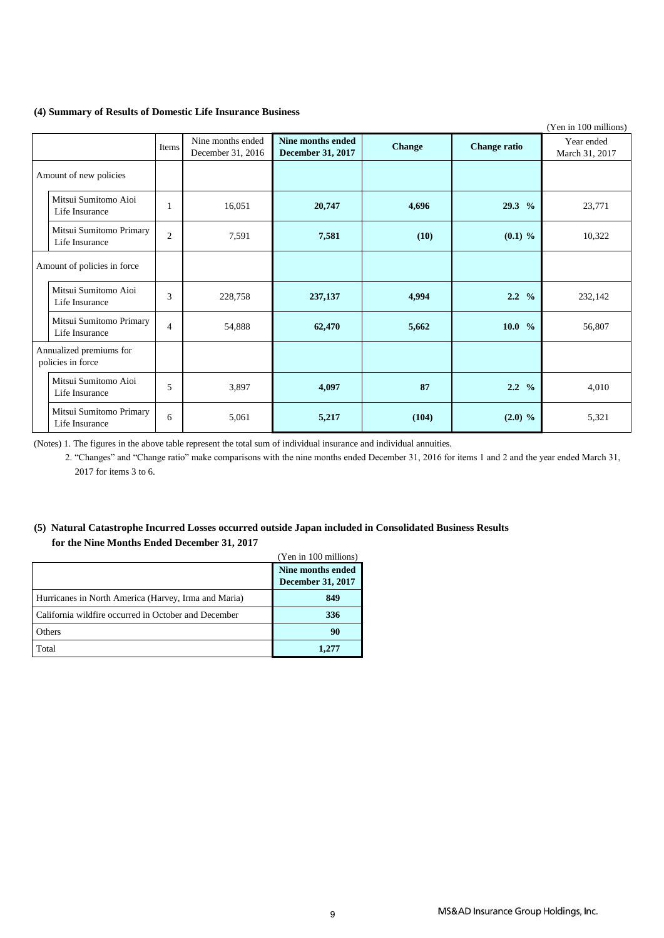#### **(4) Summary of Results of Domestic Life Insurance Business**

|                                              |                |                                        |                                        |               |                     | (Yen in 100 millions)        |
|----------------------------------------------|----------------|----------------------------------------|----------------------------------------|---------------|---------------------|------------------------------|
|                                              | Items          | Nine months ended<br>December 31, 2016 | Nine months ended<br>December 31, 2017 | <b>Change</b> | <b>Change ratio</b> | Year ended<br>March 31, 2017 |
| Amount of new policies                       |                |                                        |                                        |               |                     |                              |
| Mitsui Sumitomo Aioi<br>Life Insurance       | 1              | 16,051                                 | 20,747                                 | 4,696         | 29.3 %              | 23,771                       |
| Mitsui Sumitomo Primary<br>Life Insurance    | $\overline{2}$ | 7,591                                  | 7,581                                  | (10)          | $(0.1)$ %           | 10,322                       |
| Amount of policies in force                  |                |                                        |                                        |               |                     |                              |
| Mitsui Sumitomo Aioi<br>Life Insurance       | 3              | 228,758                                | 237,137                                | 4,994         | $2.2 \frac{9}{6}$   | 232,142                      |
| Mitsui Sumitomo Primary<br>Life Insurance    | $\overline{4}$ | 54,888                                 | 62,470                                 | 5,662         | 10.0 %              | 56,807                       |
| Annualized premiums for<br>policies in force |                |                                        |                                        |               |                     |                              |
| Mitsui Sumitomo Aioi<br>Life Insurance       | 5              | 3,897                                  | 4,097                                  | 87            | $2.2 \frac{9}{6}$   | 4,010                        |
| Mitsui Sumitomo Primary<br>Life Insurance    | 6              | 5,061                                  | 5,217                                  | (104)         | $(2.0)$ %           | 5,321                        |

(Notes) 1. The figures in the above table represent the total sum of individual insurance and individual annuities.

 2. "Changes" and "Change ratio" make comparisons with the nine months ended December 31, 2016 for items 1 and 2 and the year ended March 31, 2017 for items 3 to 6.

### **(5) Natural Catastrophe Incurred Losses occurred outside Japan included in Consolidated Business Results for the Nine Months Ended December 31, 2017**

|                                                      | (Yen in 100 millions)                         |
|------------------------------------------------------|-----------------------------------------------|
|                                                      | Nine months ended<br><b>December 31, 2017</b> |
| Hurricanes in North America (Harvey, Irma and Maria) | 849                                           |
| California wildfire occurred in October and December | 336                                           |
| Others                                               | 90                                            |
| Total                                                | 1.277                                         |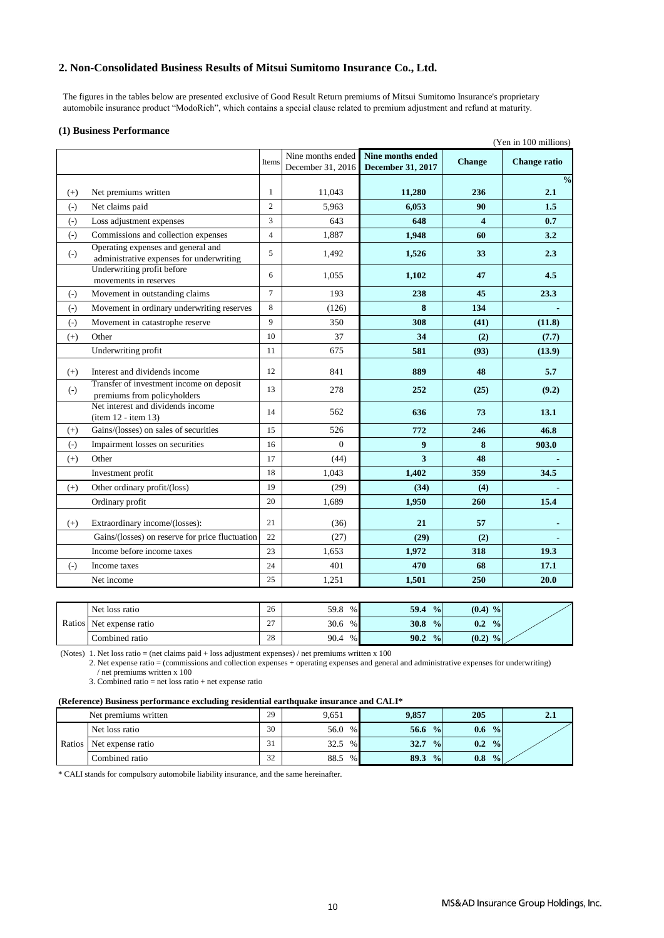### **2. Non-Consolidated Business Results of Mitsui Sumitomo Insurance Co., Ltd.**

 The figures in the tables below are presented exclusive of Good Result Return premiums of Mitsui Sumitomo Insurance's proprietary automobile insurance product "ModoRich", which contains a special clause related to premium adjustment and refund at maturity.

#### **(1) Business Performance**

|          |                                                                                |                | Nine months ended |                                               |               | (Yen in 100 millions) |
|----------|--------------------------------------------------------------------------------|----------------|-------------------|-----------------------------------------------|---------------|-----------------------|
|          |                                                                                | Items          | December 31, 2016 | <b>Nine months ended</b><br>December 31, 2017 | <b>Change</b> | <b>Change ratio</b>   |
|          |                                                                                |                |                   |                                               |               | $\frac{0}{0}$         |
| $(+)$    | Net premiums written                                                           | $\mathbf{1}$   | 11,043            | 11,280                                        | 236           | 2.1                   |
| $(-)$    | Net claims paid                                                                | $\overline{2}$ | 5.963             | 6,053                                         | 90            | 1.5                   |
| $(-)$    | Loss adjustment expenses                                                       | 3              | 643               | 648                                           | 4             | 0.7                   |
| $(-)$    | Commissions and collection expenses                                            | $\overline{4}$ | 1,887             | 1,948                                         | 60            | 3.2                   |
| $(-)$    | Operating expenses and general and<br>administrative expenses for underwriting | 5              | 1,492             | 1,526                                         | 33            | 2.3                   |
|          | Underwriting profit before<br>movements in reserves                            | 6              | 1,055             | 1,102                                         | 47            | 4.5                   |
| $(-)$    | Movement in outstanding claims                                                 | $\tau$         | 193               | 238                                           | 45            | 23.3                  |
| $(-)$    | Movement in ordinary underwriting reserves                                     | 8              | (126)             | 8                                             | 134           |                       |
| $(-)$    | Movement in catastrophe reserve                                                | 9              | 350               | 308                                           | (41)          | (11.8)                |
| $(+)$    | Other                                                                          | 10             | 37                | 34                                            | (2)           | (7.7)                 |
|          | Underwriting profit                                                            | 11             | 675               | 581                                           | (93)          | (13.9)                |
| $(+)$    | Interest and dividends income                                                  | 12             | 841               | 889                                           | 48            | 5.7                   |
| $(-)$    | Transfer of investment income on deposit<br>premiums from policyholders        | 13             | 278               | 252                                           | (25)          | (9.2)                 |
|          | Net interest and dividends income<br>$item 12 - item 13)$                      | 14             | 562               | 636                                           | 73            | 13.1                  |
| $^{(+)}$ | Gains/(losses) on sales of securities                                          | 15             | 526               | 772                                           | 246           | 46.8                  |
| $(-)$    | Impairment losses on securities                                                | 16             | $\Omega$          | 9                                             | 8             | 903.0                 |
| $(+)$    | Other                                                                          | 17             | (44)              | 3                                             | 48            |                       |
|          | Investment profit                                                              | 18             | 1,043             | 1,402                                         | 359           | 34.5                  |
| $(+)$    | Other ordinary profit/(loss)                                                   | 19             | (29)              | (34)                                          | (4)           |                       |
|          | Ordinary profit                                                                | 20             | 1,689             | 1,950                                         | 260           | 15.4                  |
| $(+)$    | Extraordinary income/(losses):                                                 | 21             | (36)              | 21                                            | 57            |                       |
|          | Gains/(losses) on reserve for price fluctuation                                | 22             | (27)              | (29)                                          | (2)           |                       |
|          | Income before income taxes                                                     | 23             | 1,653             | 1,972                                         | 318           | 19.3                  |
| $(-)$    | Income taxes                                                                   | 24             | 401               | 470                                           | 68            | 17.1                  |
|          | Net income                                                                     | 25             | 1,251             | 1,501                                         | 250           | 20.0                  |

|        | Net loss ratio    | 26                     | 59.8<br>% | 59.4<br>$\frac{0}{0}$        | (0.4)<br>$\frac{9}{9}$ |  |
|--------|-------------------|------------------------|-----------|------------------------------|------------------------|--|
| Ratios | Net expense ratio | $\sim$<br>. <u>. .</u> | 30.6<br>% | 30.8<br>$\frac{0}{\sqrt{2}}$ | $\frac{0}{0}$<br>0.2   |  |
|        | Combined ratio    | 28                     | 90.4<br>% | 90.2<br>$\frac{0}{\alpha}$   | (0.2)<br>$\frac{0}{0}$ |  |

(Notes) 1. Net loss ratio = (net claims paid + loss adjustment expenses) / net premiums written x 100

2. Net expense ratio = (commissions and collection expenses + operating expenses and general and administrative expenses for underwriting) / net premiums written x 100

3. Combined ratio  $=$  net loss ratio  $+$  net expense ratio

#### **(Reference) Business performance excluding residential earthquake insurance and CALI\***

|        | Net premiums written | 29            | 9,651     | 9.857                      | 205                  | د دیک |
|--------|----------------------|---------------|-----------|----------------------------|----------------------|-------|
|        | Net loss ratio       | 30            | 56.0<br>% | 56.6<br>$\frac{0}{\Omega}$ | $\frac{0}{0}$<br>0.6 |       |
| Ratios | Net expense ratio    | $\sim$<br>J 1 | 32.5<br>% | $\frac{0}{0}$<br>32.7      | $\frac{0}{2}$<br>0.2 |       |
|        | Combined ratio       | 32<br>ے ر     | 88.5<br>% | 89.3<br>$\frac{9}{9}$      | 0.8<br>$\frac{0}{2}$ |       |

\* CALI stands for compulsory automobile liability insurance, and the same hereinafter.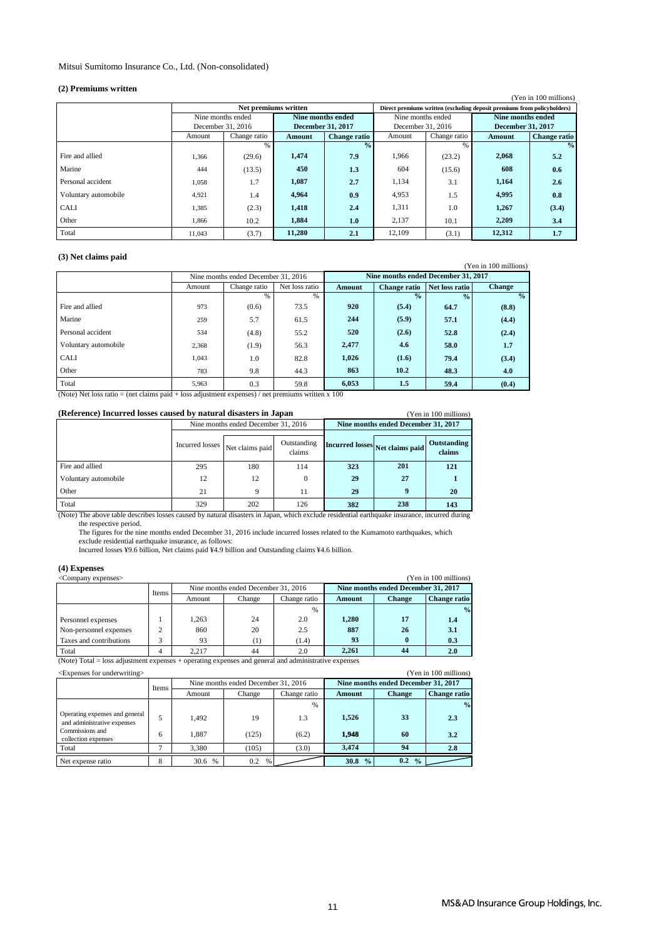#### Mitsui Sumitomo Insurance Co., Ltd. (Non-consolidated)

#### **(2) Premiums written**

| $\mathcal{L}$ is defined to the $\mathcal{L}$<br>(Yen in 100 millions) |                   |              |                          |                     |                                                                         |               |                          |                     |  |  |
|------------------------------------------------------------------------|-------------------|--------------|--------------------------|---------------------|-------------------------------------------------------------------------|---------------|--------------------------|---------------------|--|--|
|                                                                        |                   |              |                          |                     | Direct premiums written (excluding deposit premiums from policyholders) |               |                          |                     |  |  |
|                                                                        | Nine months ended |              | Nine months ended        |                     | Nine months ended                                                       |               | Nine months ended        |                     |  |  |
|                                                                        | December 31, 2016 |              | <b>December 31, 2017</b> |                     | December 31, 2016                                                       |               | <b>December 31, 2017</b> |                     |  |  |
|                                                                        | Amount            | Change ratio | Amount                   | <b>Change ratio</b> | Amount                                                                  | Change ratio  | Amount                   | <b>Change ratio</b> |  |  |
|                                                                        |                   |              |                          | $\frac{0}{0}$       |                                                                         | $\frac{9}{6}$ |                          | $\frac{6}{6}$       |  |  |
| Fire and allied                                                        | 1,366             | (29.6)       | 1,474                    | 7.9                 | 1,966                                                                   | (23.2)        | 2.068                    | 5.2                 |  |  |
| Marine                                                                 | 444               | (13.5)       | 450                      | 1.3                 | 604                                                                     | (15.6)        | 608                      | 0.6                 |  |  |
| Personal accident                                                      | 1,058             | 1.7          | 1,087                    | 2.7                 | 1,134                                                                   | 3.1           | 1,164                    | 2.6                 |  |  |
| Voluntary automobile                                                   | 4.921             | 1.4          | 4.964                    | 0.9                 | 4,953                                                                   | 1.5           | 4,995                    | 0.8                 |  |  |
| <b>CALI</b>                                                            | 1,385             | (2.3)        | 1,418                    | 2.4                 | 1,311                                                                   | 1.0           | 1,267                    | (3.4)               |  |  |
| Other                                                                  | 1,866             | 10.2         | 1,884                    | 1.0                 | 2,137                                                                   | 10.1          | 2.209                    | 3.4                 |  |  |
| Total                                                                  | 11,043            | (3.7)        | 11,280                   | 2.1                 | 12,109                                                                  | (3.1)         | 12,312                   | 1.7                 |  |  |

#### **(3) Net claims paid**

| O Turci claims paid  |        |                                     |                |                                     |                     |                |                       |
|----------------------|--------|-------------------------------------|----------------|-------------------------------------|---------------------|----------------|-----------------------|
|                      |        |                                     |                |                                     |                     |                | (Yen in 100 millions) |
|                      |        | Nine months ended December 31, 2016 |                | Nine months ended December 31, 2017 |                     |                |                       |
|                      | Amount | Change ratio                        | Net loss ratio | <b>Amount</b>                       | <b>Change ratio</b> | Net loss ratio | <b>Change</b>         |
|                      |        | %                                   | %              |                                     | $\frac{0}{0}$       | $\frac{0}{0}$  | $\frac{0}{0}$         |
| Fire and allied      | 973    | (0.6)                               | 73.5           | 920                                 | (5.4)               | 64.7           | (8.8)                 |
| Marine               | 259    | 5.7                                 | 61.5           | 244                                 | (5.9)               | 57.1           | (4.4)                 |
| Personal accident    | 534    | (4.8)                               | 55.2           | 520                                 | (2.6)               | 52.8           | (2.4)                 |
| Voluntary automobile | 2,368  | (1.9)                               | 56.3           | 2,477                               | 4.6                 | 58.0           | 1.7                   |
| <b>CALI</b>          | 1.043  | 1.0                                 | 82.8           | 1,026                               | (1.6)               | 79.4           | (3.4)                 |
| Other                | 783    | 9.8                                 | 44.3           | 863                                 | 10.2                | 48.3           | 4.0                   |
| Total                | 5,963  | 0.3                                 | 59.8           | 6,053                               | 1.5                 | 59.4           | (0.4)                 |

(Note) Net loss ratio = (net claims paid + loss adjustment expenses) / net premiums written x 100

#### **(Reference) Incurred losses caused by natural disasters in Japan** (Yen in 100 millions)

|                      |                                   | Nine months ended December 31, 2016 |                       |     | Nine months ended December 31, 2017 |                       |  |  |
|----------------------|-----------------------------------|-------------------------------------|-----------------------|-----|-------------------------------------|-----------------------|--|--|
|                      | Incurred losses   Net claims paid |                                     | Outstanding<br>claims |     | Incurred losses Net claims paid     | Outstanding<br>claims |  |  |
| Fire and allied      | 295                               | 180                                 | 114                   | 323 | 201                                 | 121                   |  |  |
| Voluntary automobile | 12                                | 12                                  |                       | 29  | 27                                  |                       |  |  |
| Other                | 21                                | Q                                   | 11                    | 29  |                                     | 20                    |  |  |
| Total                | 329                               | 202                                 | 126                   | 382 | 238                                 | 143                   |  |  |

the respective period.<br>The figures for the nine months ended December 31, 2016 include incurred losses related to the Kumamoto earthquakes, which (Note) The above table describes losses caused by natural disasters in Japan, which exclude residential earthquake insurance, incurred during

exclude residential earthquake insurance, as follows:

Incurred losses ¥9.6 billion, Net claims paid ¥4.9 billion and Outstanding claims ¥4.6 billion.

#### **(4) Expenses**

| (Yen in 100 millions)<br><company expenses=""></company> |        |        |                                     |              |        |                                     |                     |  |  |
|----------------------------------------------------------|--------|--------|-------------------------------------|--------------|--------|-------------------------------------|---------------------|--|--|
|                                                          | Items  |        | Nine months ended December 31, 2016 |              |        | Nine months ended December 31, 2017 |                     |  |  |
|                                                          |        | Amount | Change                              | Change ratio | Amount | <b>Change</b>                       | <b>Change ratio</b> |  |  |
|                                                          |        |        |                                     | %            |        |                                     | $\frac{0}{0}$       |  |  |
| Personnel expenses                                       |        | 1.263  | 24                                  | 2.0          | 1.280  | 17                                  | 1.4                 |  |  |
| Non-personnel expenses                                   | ◠      | 860    | 20                                  | 2.5          | 887    | 26                                  | 3.1                 |  |  |
| Taxes and contributions                                  | $\sim$ | 93     | (1)                                 | (1.4)        | 93     |                                     | 0.3                 |  |  |
| Total                                                    |        | 2.217  | 44                                  | 2.0          | 2.261  | 44                                  | 2.0                 |  |  |

(Note) Total = loss adjustment expenses + operating expenses and general and administrative expenses

| (Yen in 100 millions)<br><expenses for="" underwriting=""></expenses> |       |                                     |          |              |                                     |                      |                     |  |  |  |
|-----------------------------------------------------------------------|-------|-------------------------------------|----------|--------------|-------------------------------------|----------------------|---------------------|--|--|--|
|                                                                       | Items | Nine months ended December 31, 2016 |          |              | Nine months ended December 31, 2017 |                      |                     |  |  |  |
|                                                                       |       | Amount                              | Change   | Change ratio | Amount                              | <b>Change</b>        | <b>Change ratio</b> |  |  |  |
|                                                                       |       |                                     |          | %            |                                     |                      | $\frac{0}{0}$       |  |  |  |
| Operating expenses and general<br>and administrative expenses         |       | 1.492                               | 19       | 1.3          | 1,526                               | 33                   | 2.3                 |  |  |  |
| Commissions and<br>collection expenses                                | 6     | 1.887                               | (125)    | (6.2)        | 1.948                               | 60                   | 3.2                 |  |  |  |
| Total                                                                 |       | 3.380                               | (105)    | (3.0)        | 3.474                               | 94                   | 2.8                 |  |  |  |
| Net expense ratio                                                     | 8     | 30.6<br>$\frac{0}{6}$               | 0.2<br>% |              | 30.8<br>$\frac{0}{0}$               | 0.2<br>$\frac{0}{0}$ |                     |  |  |  |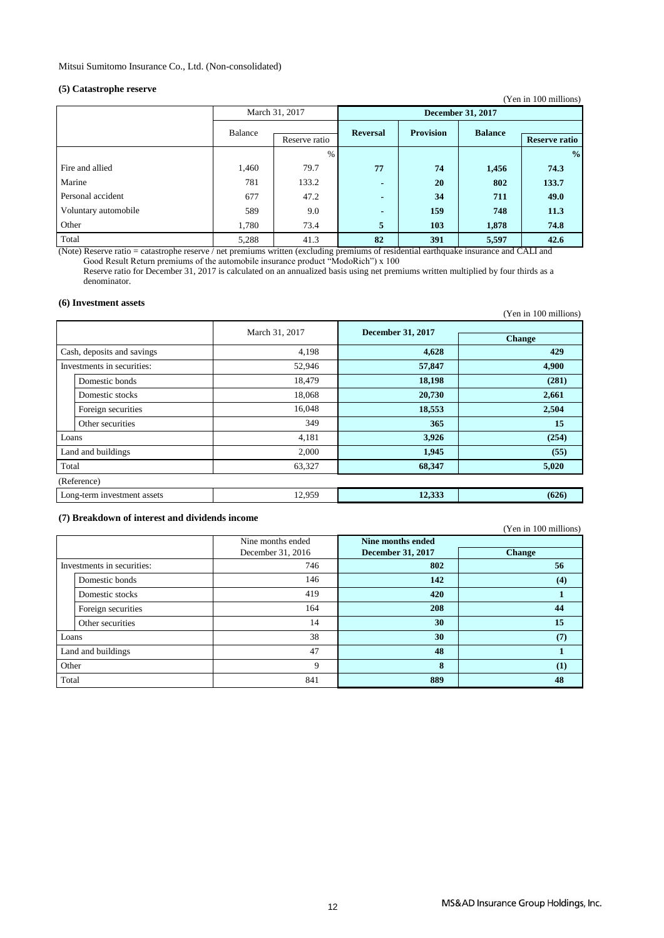### **(5) Catastrophe reserve**

| $\omega$ cannot optic reserve |         |                |                          |                  |                | (Yen in 100 millions) |  |
|-------------------------------|---------|----------------|--------------------------|------------------|----------------|-----------------------|--|
|                               |         | March 31, 2017 | <b>December 31, 2017</b> |                  |                |                       |  |
|                               | Balance | Reserve ratio  | <b>Reversal</b>          | <b>Provision</b> | <b>Balance</b> | <b>Reserve ratio</b>  |  |
|                               |         | $\%$           |                          |                  |                | $\frac{0}{0}$         |  |
| Fire and allied               | 1,460   | 79.7           | 77                       | 74               | 1,456          | 74.3                  |  |
| Marine                        | 781     | 133.2          | $\blacksquare$           | 20               | 802            | 133.7                 |  |
| Personal accident             | 677     | 47.2           | $\blacksquare$           | 34               | 711            | 49.0                  |  |
| Voluntary automobile          | 589     | 9.0            | $\blacksquare$           | 159              | 748            | 11.3                  |  |
| Other                         | 1,780   | 73.4           | 5                        | 103              | 1,878          | 74.8                  |  |
| Total                         | 5,288   | 41.3           | 82                       | 391              | 5,597          | 42.6                  |  |

(Note) Reserve ratio = catastrophe reserve / net premiums written (excluding premiums of residential earthquake insurance and CALI and Good Result Return premiums of the automobile insurance product "ModoRich") x 100 Reserve ratio for December 31, 2017 is calculated on an annualized basis using net premiums written multiplied by four thirds as a denominator.

#### **(6) Investment assets**

|                             |                |                          | (Yen in 100 millions) |
|-----------------------------|----------------|--------------------------|-----------------------|
|                             | March 31, 2017 | <b>December 31, 2017</b> |                       |
|                             |                |                          | <b>Change</b>         |
| Cash, deposits and savings  | 4,198          | 4,628                    | 429                   |
| Investments in securities:  | 52,946         | 57,847                   | 4,900                 |
| Domestic bonds              | 18,479         | 18,198                   | (281)                 |
| Domestic stocks             | 18,068         | 20,730                   | 2,661                 |
| Foreign securities          | 16,048         | 18,553                   | 2,504                 |
| Other securities            | 349            | 365                      | 15                    |
| Loans                       | 4,181          | 3,926                    | (254)                 |
| Land and buildings          | 2,000          | 1,945                    | (55)                  |
| Total                       | 63,327         | 68,347                   | 5,020                 |
| (Reference)                 |                |                          |                       |
| Long-term investment assets | 12,959         | 12,333                   | (626)                 |

#### **(7) Breakdown of interest and dividends income**

(Yen in 100 millions)

|       |                            | Nine months ended | Nine months ended        |                  |
|-------|----------------------------|-------------------|--------------------------|------------------|
|       |                            | December 31, 2016 | <b>December 31, 2017</b> | <b>Change</b>    |
|       | Investments in securities: | 746               | 802                      | 56               |
|       | Domestic bonds             | 146               | 142                      | (4)              |
|       | Domestic stocks            | 419               | 420                      |                  |
|       | Foreign securities         | 164               | 208                      | 44               |
|       | Other securities           | 14                | 30                       | 15               |
| Loans |                            | 38                | 30                       | (7)              |
|       | Land and buildings         | 47                | 48                       |                  |
| Other |                            | 9                 | 8                        | $\left(1\right)$ |
| Total |                            | 841               | 889                      | 48               |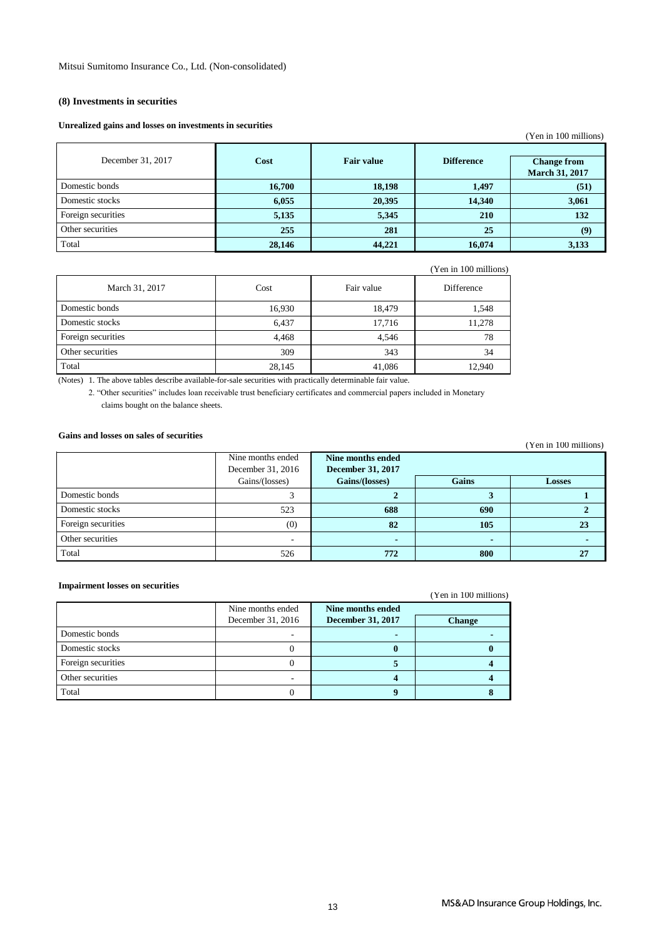#### **(8) Investments in securities**

#### **Unrealized gains and losses on investments in securities**

|                    |        |                   |                   | (Yen in 100 millions)                       |
|--------------------|--------|-------------------|-------------------|---------------------------------------------|
| December 31, 2017  | Cost   | <b>Fair value</b> | <b>Difference</b> | <b>Change from</b><br><b>March 31, 2017</b> |
| Domestic bonds     | 16,700 | 18,198            | 1,497             | (51)                                        |
| Domestic stocks    | 6,055  | 20,395            | 14,340            | 3,061                                       |
| Foreign securities | 5,135  | 5,345             | 210               | 132                                         |
| Other securities   | 255    | 281               | 25                | (9)                                         |
| Total              | 28,146 | 44,221            | 16,074            | 3,133                                       |

|  | (Yen in 100 millions) |  |
|--|-----------------------|--|
|  |                       |  |

| March 31, 2017     | Cost   | Fair value | Difference |
|--------------------|--------|------------|------------|
| Domestic bonds     | 16,930 | 18,479     | 1,548      |
| Domestic stocks    | 6,437  | 17,716     | 11,278     |
| Foreign securities | 4,468  | 4.546      | 78         |
| Other securities   | 309    | 343        | 34         |
| Total              | 28,145 | 41,086     | 12,940     |

(Notes) 1. The above tables describe available-for-sale securities with practically determinable fair value.

2. "Other securities" includes loan receivable trust beneficiary certificates and commercial papers included in Monetary claims bought on the balance sheets.

#### **Gains and losses on sales of securities**

#### 3 **2 3 1** 523 **688 690 2** (0) **82 105 23** - **- - -** 526 **772 800 27** Nine months ended December 31, 2016 **Nine months ended December 31, 2017** Gains/(losses) **Gains/(losses) Gains Losses** Domestic bonds Domestic stocks Foreign securities Other securities Total

#### **Impairment losses on securities**

| mipent ment topped on becan refer |                   |                          | (Yen in 100 millions) |
|-----------------------------------|-------------------|--------------------------|-----------------------|
|                                   | Nine months ended | Nine months ended        |                       |
|                                   | December 31, 2016 | <b>December 31, 2017</b> | <b>Change</b>         |
| Domestic bonds                    |                   |                          |                       |
| Domestic stocks                   |                   |                          |                       |
| Foreign securities                |                   |                          |                       |
| Other securities                  |                   |                          |                       |
| Total                             |                   |                          |                       |

#### (Yen in 100 millions)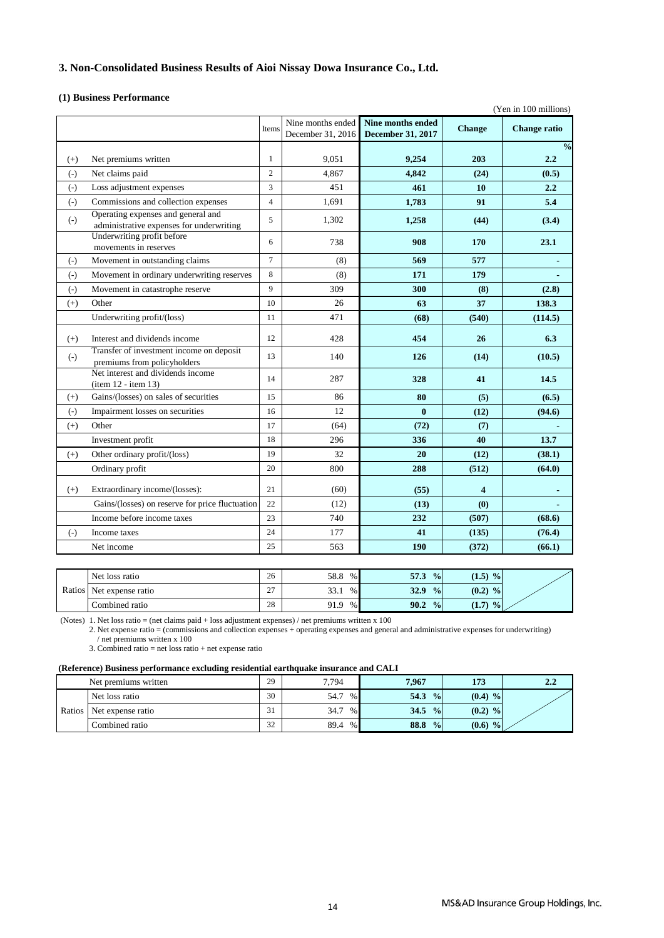### **3. Non-Consolidated Business Results of Aioi Nissay Dowa Insurance Co., Ltd.**

#### **(1) Business Performance**

|       |                                                                                |                |                   |                          |               | (Yen in 100 millions) |
|-------|--------------------------------------------------------------------------------|----------------|-------------------|--------------------------|---------------|-----------------------|
|       |                                                                                | Items          | Nine months ended | Nine months ended        | <b>Change</b> | <b>Change ratio</b>   |
|       |                                                                                |                | December 31, 2016 | <b>December 31, 2017</b> |               |                       |
|       |                                                                                |                |                   |                          | 203           | $\frac{0}{0}$         |
| $(+)$ | Net premiums written                                                           | $\mathbf{1}$   | 9,051             | 9,254                    |               | 2.2                   |
| $(-)$ | Net claims paid                                                                | $\overline{2}$ | 4,867             | 4,842                    | (24)          | (0.5)                 |
| $(-)$ | Loss adjustment expenses                                                       | 3              | 451               | 461                      | 10            | 2.2                   |
| $(-)$ | Commissions and collection expenses                                            | $\overline{4}$ | 1,691             | 1,783                    | 91            | 5.4                   |
| $(-)$ | Operating expenses and general and<br>administrative expenses for underwriting | 5              | 1,302             | 1,258                    | (44)          | (3.4)                 |
|       | Underwriting profit before<br>movements in reserves                            | 6              | 738               | 908                      | 170           | 23.1                  |
| $(-)$ | Movement in outstanding claims                                                 | $\tau$         | (8)               | 569                      | 577           |                       |
| $(-)$ | Movement in ordinary underwriting reserves                                     | 8              | (8)               | 171                      | 179           |                       |
| $(-)$ | Movement in catastrophe reserve                                                | 9              | 309               | 300                      | (8)           | (2.8)                 |
| $(+)$ | Other                                                                          | 10             | 26                | 63                       | 37            | 138.3                 |
|       | Underwriting profit/(loss)                                                     | 11             | 471               | (68)                     | (540)         | (114.5)               |
| $(+)$ | Interest and dividends income                                                  | 12             | 428               | 454                      | 26            | 6.3                   |
| $(-)$ | Transfer of investment income on deposit<br>premiums from policyholders        | 13             | 140               | 126                      | (14)          | (10.5)                |
|       | Net interest and dividends income<br>(item 12 - item 13)                       | 14             | 287               | 328                      | 41            | 14.5                  |
| $(+)$ | Gains/(losses) on sales of securities                                          | 15             | 86                | 80                       | (5)           | (6.5)                 |
| $(-)$ | Impairment losses on securities                                                | 16             | 12                | $\bf{0}$                 | (12)          | (94.6)                |
| $(+)$ | Other                                                                          | 17             | (64)              | (72)                     | (7)           |                       |
|       | Investment profit                                                              | 18             | 296               | 336                      | 40            | 13.7                  |
| $(+)$ | Other ordinary profit/(loss)                                                   | 19             | 32                | 20                       | (12)          | (38.1)                |
|       | Ordinary profit                                                                | 20             | 800               | 288                      | (512)         | (64.0)                |
| $(+)$ | Extraordinary income/(losses):                                                 | 21             | (60)              | (55)                     | 4             |                       |
|       | Gains/(losses) on reserve for price fluctuation                                | 22             | (12)              | (13)                     | (0)           |                       |
|       | Income before income taxes                                                     | 23             | 740               | 232                      | (507)         | (68.6)                |
| $(-)$ | Income taxes                                                                   | 24             | 177               | 41                       | (135)         | (76.4)                |
|       | Net income                                                                     | 25             | 563               | 190                      | (372)         | (66.1)                |

|               | Net loss ratio    | 26                 | 58.8<br>$\%$   | 57.3<br>$\frac{0}{2}$      | $(1.5)$ %              |  |
|---------------|-------------------|--------------------|----------------|----------------------------|------------------------|--|
| <b>Ratios</b> | Net expense ratio | $\sim$<br><u>.</u> | 33.1<br>$\%$ . | 32.9<br>$\frac{0}{0}$      | $(0.2)$ %              |  |
|               | Combined ratio    | 28                 | 91.9<br>$\%$   | 90.2<br>$\frac{0}{\alpha}$ | $\frac{9}{6}$<br>(1.7) |  |

(Notes) 1. Net loss ratio = (net claims paid + loss adjustment expenses) / net premiums written x 100

2. Net expense ratio = (commissions and collection expenses + operating expenses and general and administrative expenses for underwriting) / net premiums written x 100

3. Combined ratio = net loss ratio + net expense ratio

#### **(Reference) Business performance excluding residential earthquake insurance and CALI**

|        | Net premiums written | 29        | 7,794          | 7.967                      | 173                    | $2.2\,$ |
|--------|----------------------|-----------|----------------|----------------------------|------------------------|---------|
|        | Net loss ratio       | 30        | 54.7<br>$\%$ . | $\frac{0}{0}$<br>54.3      | $(0.4)$ %              |         |
| Ratios | Net expense ratio    | 21<br>-21 | 34.7<br>$\%$ . | 34.5<br>$\frac{0}{0}$      | $(0.2)$ %              |         |
|        | Combined ratio       | 32        | 89.4<br>$\%$   | 88.8<br>$\frac{0}{\alpha}$ | (0.6)<br>$\frac{9}{9}$ |         |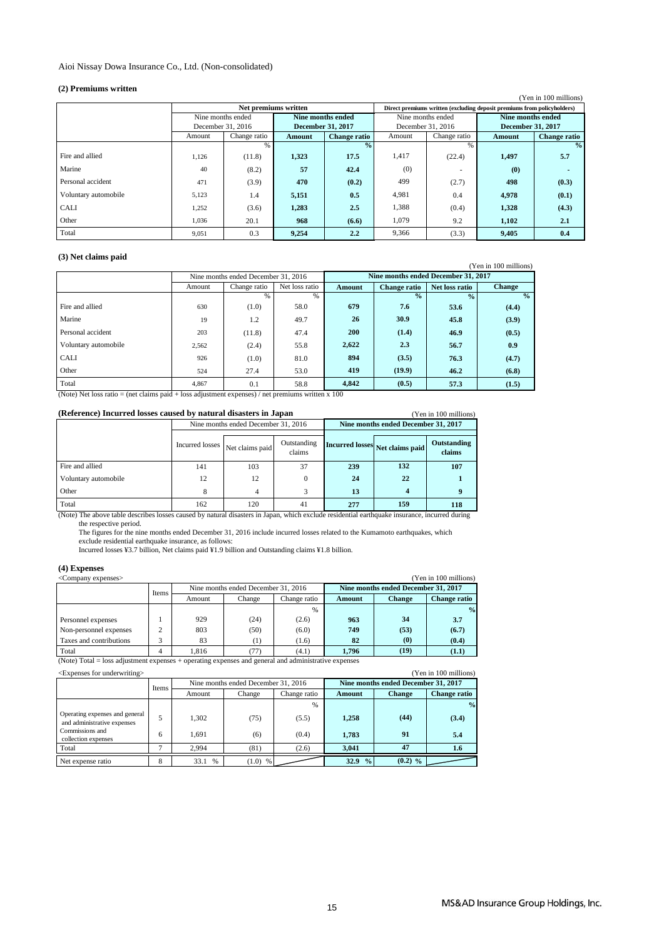#### Aioi Nissay Dowa Insurance Co., Ltd. (Non-consolidated)

#### **(2) Premiums written**

|                      |                   |                      |                          |                     |                   |              |                                                                         | (Yen in 100 millions) |
|----------------------|-------------------|----------------------|--------------------------|---------------------|-------------------|--------------|-------------------------------------------------------------------------|-----------------------|
|                      |                   | Net premiums written |                          |                     |                   |              | Direct premiums written (excluding deposit premiums from policyholders) |                       |
|                      | Nine months ended |                      | Nine months ended        |                     | Nine months ended |              | Nine months ended                                                       |                       |
|                      | December 31, 2016 |                      | <b>December 31, 2017</b> |                     | December 31, 2016 |              | December 31, 2017                                                       |                       |
|                      | Amount            | Change ratio         | Amount                   | <b>Change</b> ratio | Amount            | Change ratio | Amount                                                                  | <b>Change ratio</b>   |
|                      |                   | %                    |                          | $\frac{0}{0}$       |                   | %            |                                                                         | $\frac{0}{2}$         |
| Fire and allied      | 1,126             | (11.8)               | 1,323                    | 17.5                | 1,417             | (22.4)       | 1,497                                                                   | 5.7                   |
| Marine               | 40                | (8.2)                | 57                       | 42.4                | (0)               |              | (0)                                                                     |                       |
| Personal accident    | 471               | (3.9)                | 470                      | (0.2)               | 499               | (2.7)        | 498                                                                     | (0.3)                 |
| Voluntary automobile | 5,123             | 1.4                  | 5,151                    | 0.5                 | 4,981             | 0.4          | 4,978                                                                   | (0.1)                 |
| <b>CALI</b>          | 1,252             | (3.6)                | 1,283                    | 2.5                 | 1,388             | (0.4)        | 1,328                                                                   | (4.3)                 |
| Other                | 1,036             | 20.1                 | 968                      | (6.6)               | 1.079             | 9.2          | 1,102                                                                   | 2.1                   |
| Total                | 9,051             | 0.3                  | 9.254                    | 2.2                 | 9,366             | (3.3)        | 9,405                                                                   | 0.4                   |

#### **(3) Net claims paid**

| O Turci claims paid  |        |                                     |                |               |                                     |                |                       |
|----------------------|--------|-------------------------------------|----------------|---------------|-------------------------------------|----------------|-----------------------|
|                      |        |                                     |                |               |                                     |                | (Yen in 100 millions) |
|                      |        | Nine months ended December 31, 2016 |                |               | Nine months ended December 31, 2017 |                |                       |
|                      | Amount | Change ratio                        | Net loss ratio | <b>Amount</b> | <b>Change</b> ratio                 | Net loss ratio | <b>Change</b>         |
|                      |        | $\%$                                | %              |               | $\overline{\frac{0}{6}}$            | $\frac{0}{2}$  | $\frac{0}{0}$         |
| Fire and allied      | 630    | (1.0)                               | 58.0           | 679           | 7.6                                 | 53.6           | (4.4)                 |
| Marine               | 19     | 1.2                                 | 49.7           | 26            | 30.9                                | 45.8           | (3.9)                 |
| Personal accident    | 203    | (11.8)                              | 47.4           | <b>200</b>    | (1.4)                               | 46.9           | (0.5)                 |
| Voluntary automobile | 2,562  | (2.4)                               | 55.8           | 2,622         | 2.3                                 | 56.7           | 0.9                   |
| <b>CALI</b>          | 926    | (1.0)                               | 81.0           | 894           | (3.5)                               | 76.3           | (4.7)                 |
| Other                | 524    | 27.4                                | 53.0           | 419           | (19.9)                              | 46.2           | (6.8)                 |
| Total                | 4,867  | 0.1                                 | 58.8           | 4,842         | (0.5)                               | 57.3           | (1.5)                 |

(Note) Net loss ratio = (net claims paid + loss adjustment expenses) / net premiums written x 100

| (Reference) Incurred losses caused by natural disasters in Japan |                                   |                                     |                       | (Yen in 100 millions)               |     |                       |
|------------------------------------------------------------------|-----------------------------------|-------------------------------------|-----------------------|-------------------------------------|-----|-----------------------|
|                                                                  |                                   | Nine months ended December 31, 2016 |                       | Nine months ended December 31, 2017 |     |                       |
|                                                                  | Incurred losses   Net claims paid |                                     | Outstanding<br>claims | Incurred losses Net claims paid     |     | Outstanding<br>claims |
| Fire and allied                                                  | 141                               | 103                                 | 37                    | 239                                 | 132 | 107                   |
| Voluntary automobile                                             | 12                                | 12                                  | 0                     | 24                                  | 22  |                       |
| Other                                                            | 8                                 | 4                                   | 3                     | 13<br>4                             |     |                       |
| Total                                                            | 162                               | 120                                 | 41                    | 277                                 | 159 | 118                   |

the respective period.<br>The figures for the nine months ended December 31, 2016 include incurred losses related to the Kumamoto earthquakes, which (Note) The above table describes losses caused by natural disasters in Japan, which exclude residential earthquake insurance, incurred during

exclude residential earthquake insurance, as follows:<br>Incurred losses ¥3.7 billion, Net claims paid ¥1.9 billion and Outstanding claims ¥1.8 billion.

#### **(4) Expenses**

| (Yen in 100 millions)<br><company expenses=""></company> |       |        |                                     |              |        |                                     |                     |
|----------------------------------------------------------|-------|--------|-------------------------------------|--------------|--------|-------------------------------------|---------------------|
|                                                          | Items |        | Nine months ended December 31, 2016 |              |        | Nine months ended December 31, 2017 |                     |
|                                                          |       | Amount | Change                              | Change ratio | Amount | <b>Change</b>                       | <b>Change ratio</b> |
|                                                          |       |        |                                     | $\%$         |        |                                     | $\frac{9}{6}$       |
| Personnel expenses                                       |       | 929    | (24)                                | (2.6)        | 963    | 34                                  | 3.7                 |
| Non-personnel expenses                                   | ↑     | 803    | (50)                                | (6.0)        | 749    | (53)                                | (6.7)               |
| Taxes and contributions                                  |       | 83     | (1)                                 | (1.6)        | 82     | $\boldsymbol{\left(0\right)}$       | (0.4)               |
| Total                                                    |       | 1.816  | 77)                                 | (4.1)        | 1.796  | (19)                                | (1.1)               |

(Note) Total = loss adjustment expenses + operating expenses and general and administrative expenses

| <expenses for="" underwriting=""><br/>(Yen in 100 millions)</expenses> |       |           |                                     |              |                                     |               |                     |
|------------------------------------------------------------------------|-------|-----------|-------------------------------------|--------------|-------------------------------------|---------------|---------------------|
|                                                                        | Items |           | Nine months ended December 31, 2016 |              | Nine months ended December 31, 2017 |               |                     |
|                                                                        |       | Amount    | Change                              | Change ratio | Amount                              | <b>Change</b> | <b>Change ratio</b> |
|                                                                        |       |           |                                     | %            |                                     |               | $\frac{0}{0}$       |
| Operating expenses and general<br>and administrative expenses          |       | 1.302     | (75)                                | (5.5)        | 1,258                               | (44)          | (3.4)               |
| Commissions and<br>collection expenses                                 | 6     | 1.691     | (6)                                 | (0.4)        | 1.783                               | 91            | 5.4                 |
| Total                                                                  |       | 2.994     | (81)                                | (2.6)        | 3.041                               | 47            | 1.6                 |
| Net expense ratio                                                      | 8     | 33.1<br>% | $(1.0)$ %                           |              | $\frac{0}{0}$<br>32.9               | $(0.2)$ %     |                     |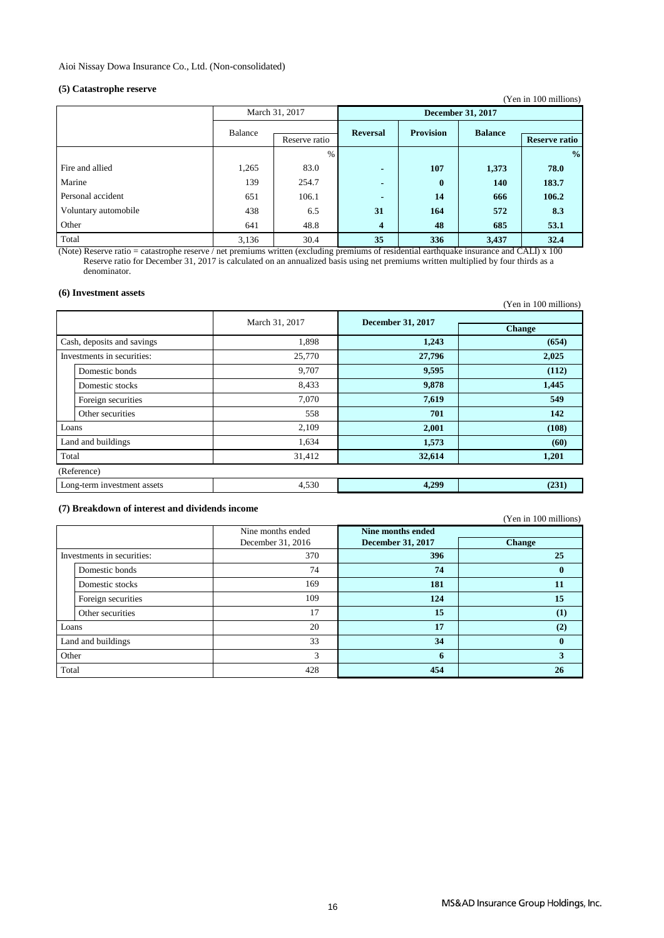### **(5) Catastrophe reserve**

| $\sqrt{2}$ $\sqrt{2}$ $\sqrt{2}$ $\sqrt{2}$ $\sqrt{2}$ $\sqrt{2}$ $\sqrt{2}$ $\sqrt{2}$ $\sqrt{2}$ $\sqrt{2}$ $\sqrt{2}$ $\sqrt{2}$ $\sqrt{2}$ $\sqrt{2}$ $\sqrt{2}$ $\sqrt{2}$ $\sqrt{2}$ $\sqrt{2}$ $\sqrt{2}$ $\sqrt{2}$ $\sqrt{2}$ $\sqrt{2}$ $\sqrt{2}$ $\sqrt{2}$ $\sqrt{2}$ $\sqrt{2}$ $\sqrt{2}$ $\sqrt{2$ |         |                |                 |                          |                | (Yen in 100 millions) |  |
|--------------------------------------------------------------------------------------------------------------------------------------------------------------------------------------------------------------------------------------------------------------------------------------------------------------------|---------|----------------|-----------------|--------------------------|----------------|-----------------------|--|
|                                                                                                                                                                                                                                                                                                                    |         | March 31, 2017 |                 | <b>December 31, 2017</b> |                |                       |  |
|                                                                                                                                                                                                                                                                                                                    | Balance | Reserve ratio  | <b>Reversal</b> | <b>Provision</b>         | <b>Balance</b> | <b>Reserve ratio</b>  |  |
|                                                                                                                                                                                                                                                                                                                    |         | $\%$           |                 |                          |                | $\frac{0}{0}$         |  |
| Fire and allied                                                                                                                                                                                                                                                                                                    | 1,265   | 83.0           | $\blacksquare$  | 107                      | 1,373          | 78.0                  |  |
| Marine                                                                                                                                                                                                                                                                                                             | 139     | 254.7          | $\blacksquare$  | $\bf{0}$                 | 140            | 183.7                 |  |
| Personal accident                                                                                                                                                                                                                                                                                                  | 651     | 106.1          | $\blacksquare$  | 14                       | 666            | 106.2                 |  |
| Voluntary automobile                                                                                                                                                                                                                                                                                               | 438     | 6.5            | 31              | 164                      | 572            | 8.3                   |  |
| Other                                                                                                                                                                                                                                                                                                              | 641     | 48.8           | 4               | 48                       | 685            | 53.1                  |  |
| Total                                                                                                                                                                                                                                                                                                              | 3,136   | 30.4           | 35              | 336                      | 3,437          | 32.4                  |  |

(Note) Reserve ratio = catastrophe reserve / net premiums written (excluding premiums of residential earthquake insurance and CALI) x 100 Reserve ratio for December 31, 2017 is calculated on an annualized basis using net premiums written multiplied by four thirds as a denominator.

#### **(6) Investment assets**

(Yen in 100 millions)

|       |                             | March 31, 2017 | <b>December 31, 2017</b> |               |
|-------|-----------------------------|----------------|--------------------------|---------------|
|       |                             |                |                          | <b>Change</b> |
|       | Cash, deposits and savings  | 1,898          | 1,243                    | (654)         |
|       | Investments in securities:  | 25,770         | 27,796                   | 2,025         |
|       | Domestic bonds              | 9,707          | 9,595                    | (112)         |
|       | Domestic stocks             | 8,433          | 9,878                    | 1,445         |
|       | Foreign securities          | 7.070          | 7,619                    | 549           |
|       | Other securities            | 558            | 701                      | 142           |
| Loans |                             | 2,109          | 2,001                    | (108)         |
|       | Land and buildings          | 1,634          | 1,573                    | (60)          |
| Total |                             | 31,412         | 32,614                   | 1,201         |
|       | (Reference)                 |                |                          |               |
|       | Long-term investment assets | 4,530          | 4,299                    | (231)         |

#### **(7) Breakdown of interest and dividends income**

(Yen in 100 millions)

|       |                            | Nine months ended | Nine months ended        |               |
|-------|----------------------------|-------------------|--------------------------|---------------|
|       |                            | December 31, 2016 | <b>December 31, 2017</b> | <b>Change</b> |
|       | Investments in securities: | 370               | 396                      | 25            |
|       | Domestic bonds             | 74                | 74                       | $\mathbf{0}$  |
|       | Domestic stocks            | 169               | 181                      | 11            |
|       | Foreign securities         | 109               | 124                      | 15            |
|       | Other securities           | 17                | 15                       | (1)           |
| Loans |                            | 20                | 17                       | (2)           |
|       | Land and buildings         | 33                | 34                       | $\mathbf{0}$  |
| Other |                            | 3                 | 6                        | 3             |
| Total |                            | 428               | 454                      | 26            |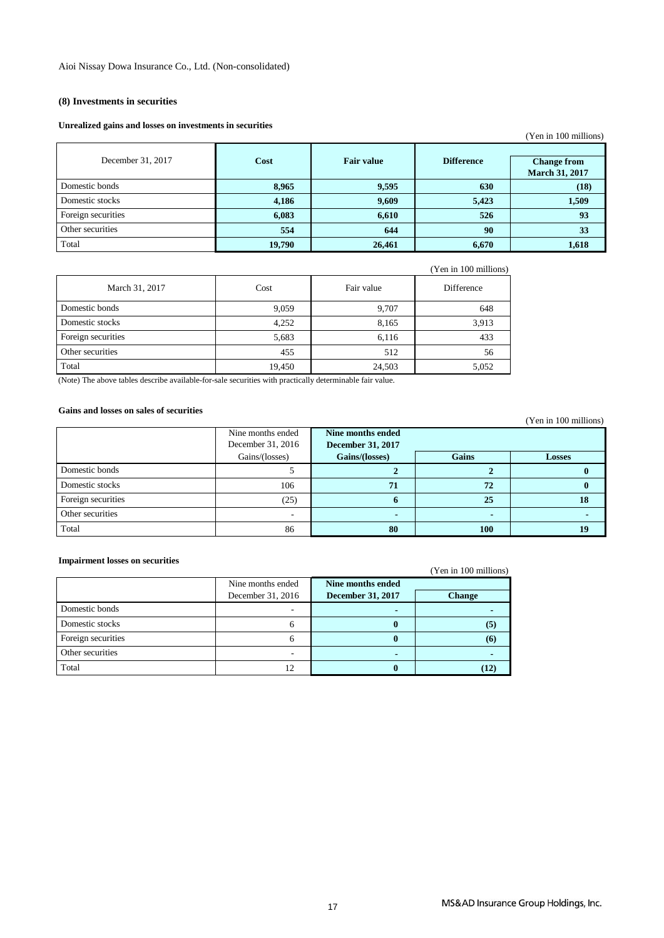#### **(8) Investments in securities**

#### **Unrealized gains and losses on investments in securities**

|                    |        |                   |                   | (Yen in 100 millions)                       |
|--------------------|--------|-------------------|-------------------|---------------------------------------------|
| December 31, 2017  | Cost   | <b>Fair value</b> | <b>Difference</b> | <b>Change from</b><br><b>March 31, 2017</b> |
| Domestic bonds     | 8,965  | 9,595             | 630               | (18)                                        |
| Domestic stocks    | 4,186  | 9,609             | 5,423             | 1,509                                       |
| Foreign securities | 6,083  | 6,610             | 526               | 93                                          |
| Other securities   | 554    | 644               | 90                | 33                                          |
| Total              | 19,790 | 26,461            | 6,670             | 1,618                                       |

|                    |        |            | (Yen in 100 millions) |
|--------------------|--------|------------|-----------------------|
| March 31, 2017     | Cost   | Fair value | Difference            |
| Domestic bonds     | 9,059  | 9,707      | 648                   |
| Domestic stocks    | 4,252  | 8,165      | 3,913                 |
| Foreign securities | 5,683  | 6,116      | 433                   |
| Other securities   | 455    | 512        | 56                    |
| Total              | 19,450 | 24,503     | 5,052                 |

(Note) The above tables describe available-for-sale securities with practically determinable fair value.

### **Gains and losses on sales of securities**

|                    |                   |                          |       | $1 \, \text{cm}$ in 100 immons) |
|--------------------|-------------------|--------------------------|-------|---------------------------------|
|                    | Nine months ended | Nine months ended        |       |                                 |
|                    | December 31, 2016 | <b>December 31, 2017</b> |       |                                 |
|                    | Gains/(losses)    | Gains/(losses)           | Gains | <b>Losses</b>                   |
| Domestic bonds     |                   |                          |       |                                 |
| Domestic stocks    | 106               | 71                       | 72    |                                 |
| Foreign securities | (25)              |                          | 25    | 18                              |
| Other securities   |                   |                          |       |                                 |
| Total              | 86                | 80                       | 100   | 19                              |

#### **Impairment losses on securities**

(Yen in 100 millions)

|                    | Nine months ended | Nine months ended        |               |
|--------------------|-------------------|--------------------------|---------------|
|                    | December 31, 2016 | <b>December 31, 2017</b> | <b>Change</b> |
| Domestic bonds     |                   |                          |               |
| Domestic stocks    | h                 |                          | (J)           |
| Foreign securities | O                 |                          | (6)           |
| Other securities   |                   |                          |               |
| Total              | 12                |                          |               |

(Yen in 100 millions)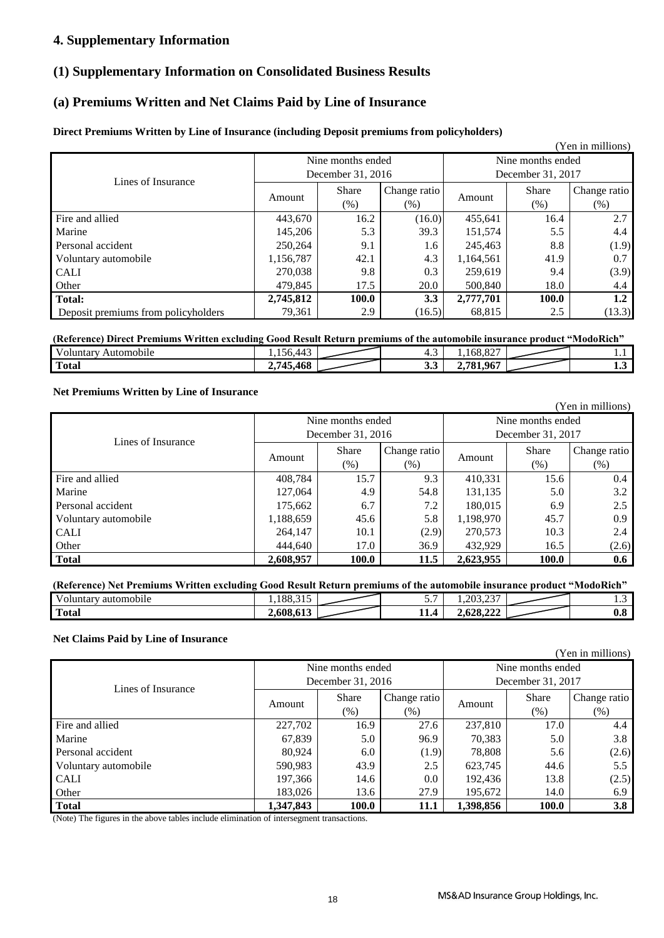### **4. Supplementary Information**

### **(1) Supplementary Information on Consolidated Business Results**

## **(a) Premiums Written and Net Claims Paid by Line of Insurance**

### **Direct Premiums Written by Line of Insurance (including Deposit premiums from policyholders)**

|                                     |           |                      |                     |                   |                      | (Yen in millions)    |
|-------------------------------------|-----------|----------------------|---------------------|-------------------|----------------------|----------------------|
|                                     |           | Nine months ended    |                     | Nine months ended |                      |                      |
| Lines of Insurance                  |           | December 31, 2016    |                     |                   | December 31, 2017    |                      |
|                                     | Amount    | <b>Share</b><br>(% ) | Change ratio<br>(%) | Amount            | <b>Share</b><br>(% ) | Change ratio<br>(% ) |
| Fire and allied                     | 443,670   | 16.2                 | (16.0)              | 455,641           | 16.4                 | 2.7                  |
| Marine                              | 145,206   | 5.3                  | 39.3                | 151,574           | 5.5                  | 4.4                  |
| Personal accident                   | 250,264   | 9.1                  | 1.6                 | 245,463           | 8.8                  | (1.9)                |
| Voluntary automobile                | 1,156,787 | 42.1                 | 4.3                 | 1,164,561         | 41.9                 | 0.7                  |
| <b>CALI</b>                         | 270.038   | 9.8                  | 0.3                 | 259.619           | 9.4                  | (3.9)                |
| Other                               | 479.845   | 17.5                 | 20.0                | 500.840           | 18.0                 | 4.4                  |
| <b>Total:</b>                       | 2,745,812 | 100.0                | 3.3                 | 2,777,701         | 100.0                | 1.2                  |
| Deposit premiums from policyholders | 79,361    | 2.9                  | (16.5)              | 68,815            | 2.5                  | (13.3)               |

| (Reference) Direct Premiums Written excluding Good Result Return premiums of the automobile insurance product "ModoRich" |           |  |    |                |  |    |
|--------------------------------------------------------------------------------------------------------------------------|-----------|--|----|----------------|--|----|
| Voluntarv<br>Automobile                                                                                                  | .56442    |  |    |                |  |    |
| <b>Total</b>                                                                                                             | 2,745,468 |  | J. | . 967<br>.781. |  | ≖⊷ |

#### **Net Premiums Written by Line of Insurance**

(Yen in millions) Amount Share (%) Change ratio Amount Share<br>
(%) Amount (%) (%) Change ratio (%) Fire and allied 15.7 | 408,784 | 15.7 | 9.3 | 410,331 | 15.6 | 0.4 Marine 127,064 4.9 54.8 131,135 5.0 3.2 Personal accident 175,662 6.7 2.2 180,015 6.9 2.5 Voluntary automobile 1,188,659 45.6 5.8 1,198,970 45.7 0.9 CALI 264,147 10.1 (2.9) 270,573 10.3 2.4 Other 17.0 17.0 36.9 432,929 16.5 (2.6)  **Total 2,608,957 100.0 11.5 2,623,955 100.0 0.6** Nine months ended December 31, 2016 Nine months ended December 31, 2017 Lines of Insurance

### **(Reference) Net Premiums Written excluding Good Result Return premiums of the automobile insurance product "ModoRich"**

| T<br>$\cdot$ $\cdot$<br>automobile<br>voluntary. | $\sim$ $\sim$<br>1.188.315 | $\sim$<br>$\overline{\phantom{a}}$ | $\sim$<br>1.203.23      | .        |
|--------------------------------------------------|----------------------------|------------------------------------|-------------------------|----------|
| m<br>'Total                                      | 2,608,61?                  | L.<br>$\prime$<br>.                | AA<br>69 O<br>2.028.222 | ົ<br>v.v |

### **Net Claims Paid by Line of Insurance**

|                      | Nine months ended |              |              | Nine months ended |              |              |
|----------------------|-------------------|--------------|--------------|-------------------|--------------|--------------|
| Lines of Insurance   | December 31, 2016 |              |              | December 31, 2017 |              |              |
|                      |                   | <b>Share</b> | Change ratio |                   | <b>Share</b> | Change ratio |
|                      | Amount            | $(\% )$      | $(\%)$       | Amount            | (% )         | (% )         |
| Fire and allied      | 227,702           | 16.9         | 27.6         | 237,810           | 17.0         | 4.4          |
| Marine               | 67,839            | 5.0          | 96.9         | 70,383            | 5.0          | 3.8          |
| Personal accident    | 80.924            | 6.0          | (1.9)        | 78,808            | 5.6          | (2.6)        |
| Voluntary automobile | 590,983           | 43.9         | 2.5          | 623,745           | 44.6         | 5.5          |
| <b>CALI</b>          | 197,366           | 14.6         | 0.0          | 192,436           | 13.8         | (2.5)        |
| Other                | 183,026           | 13.6         | 27.9         | 195,672           | 14.0         | 6.9          |
| <b>Total</b>         | 1,347,843         | 100.0        | 11.1         | 1,398,856         | 100.0        | 3.8          |

(Note) The figures in the above tables include elimination of intersegment transactions.

(Yen in millions)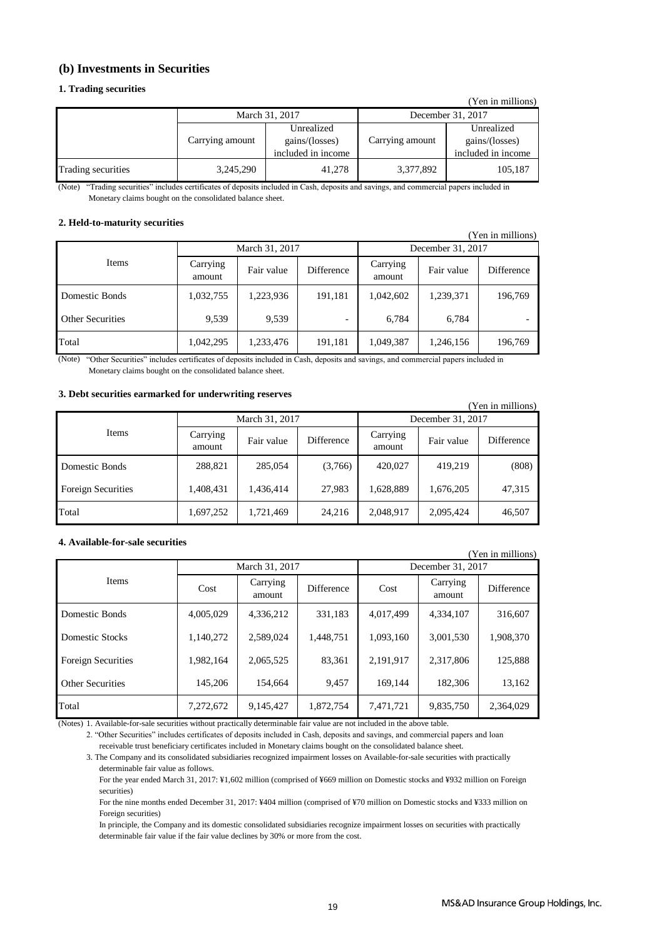### **(b) Investments in Securities**

#### **1. Trading securities**

|                    |                 |                                                    |                   | (Yen in millions)                                  |  |
|--------------------|-----------------|----------------------------------------------------|-------------------|----------------------------------------------------|--|
|                    |                 | March 31, 2017                                     | December 31, 2017 |                                                    |  |
|                    | Carrying amount | Unrealized<br>gains/(losses)<br>included in income | Carrying amount   | Unrealized<br>gains/(losses)<br>included in income |  |
| Trading securities | 3,245,290       | 41,278                                             | 3,377,892         | 105,187                                            |  |

(Note) "Trading securities" includes certificates of deposits included in Cash, deposits and savings, and commercial papers included in Monetary claims bought on the consolidated balance sheet.

#### **2. Held-to-maturity securities**

| (Yen in millions)       |                    |            |                   |                    |            |            |
|-------------------------|--------------------|------------|-------------------|--------------------|------------|------------|
| March 31, 2017          |                    |            | December 31, 2017 |                    |            |            |
| Items                   | Carrying<br>amount | Fair value | Difference        | Carrying<br>amount | Fair value | Difference |
| Domestic Bonds          | 1,032,755          | 1,223,936  | 191,181           | 1,042,602          | 1,239,371  | 196,769    |
| <b>Other Securities</b> | 9.539              | 9,539      |                   | 6.784              | 6,784      |            |
| Total                   | 1,042,295          | 1,233,476  | 191,181           | 1,049,387          | 1,246,156  | 196,769    |

"Other Securities" includes certificates of deposits included in Cash, deposits and savings, and commercial papers included in (Note) Monetary claims bought on the consolidated balance sheet.

#### **3. Debt securities earmarked for underwriting reserves**

| (Yen in millions)         |                    |                |            |                    |            |            |  |
|---------------------------|--------------------|----------------|------------|--------------------|------------|------------|--|
|                           |                    | March 31, 2017 |            | December 31, 2017  |            |            |  |
| Items                     | Carrying<br>amount | Fair value     | Difference | Carrying<br>amount | Fair value | Difference |  |
| Domestic Bonds            | 288,821            | 285,054        | (3,766)    | 420,027            | 419,219    | (808)      |  |
| <b>Foreign Securities</b> | 1,408,431          | 1,436,414      | 27,983     | 1,628,889          | 1,676,205  | 47,315     |  |
| Total                     | 1,697,252          | 1,721,469      | 24.216     | 2,048,917          | 2,095,424  | 46,507     |  |

#### **4. Available-for-sale securities**

| (Yen in millions)         |           |                    |                   |                   |                    |                   |
|---------------------------|-----------|--------------------|-------------------|-------------------|--------------------|-------------------|
|                           |           | March 31, 2017     |                   | December 31, 2017 |                    |                   |
| <b>Items</b>              | Cost      | Carrying<br>amount | <b>Difference</b> | Cost              | Carrying<br>amount | <b>Difference</b> |
| Domestic Bonds            | 4,005,029 | 4,336,212          | 331,183           | 4,017,499         | 4,334,107          | 316,607           |
| Domestic Stocks           | 1,140,272 | 2,589,024          | 1,448,751         | 1,093,160         | 3,001,530          | 1,908,370         |
| <b>Foreign Securities</b> | 1,982,164 | 2,065,525          | 83,361            | 2,191,917         | 2,317,806          | 125,888           |
| <b>Other Securities</b>   | 145,206   | 154,664            | 9.457             | 169.144           | 182,306            | 13,162            |
| Total                     | 7,272,672 | 9,145,427          | 1,872,754         | 7,471,721         | 9,835,750          | 2,364,029         |

(Notes) 1. Available-for-sale securities without practically determinable fair value are not included in the above table.

2. "Other Securities" includes certificates of deposits included in Cash, deposits and savings, and commercial papers and loan

receivable trust beneficiary certificates included in Monetary claims bought on the consolidated balance sheet.

3. The Company and its consolidated subsidiaries recognized impairment losses on Available-for-sale securities with practically determinable fair value as follows.

 For the year ended March 31, 2017: ¥1,602 million (comprised of ¥669 million on Domestic stocks and ¥932 million on Foreign securities)

 For the nine months ended December 31, 2017: ¥404 million (comprised of ¥70 million on Domestic stocks and ¥333 million on Foreign securities)

 In principle, the Company and its domestic consolidated subsidiaries recognize impairment losses on securities with practically determinable fair value if the fair value declines by 30% or more from the cost.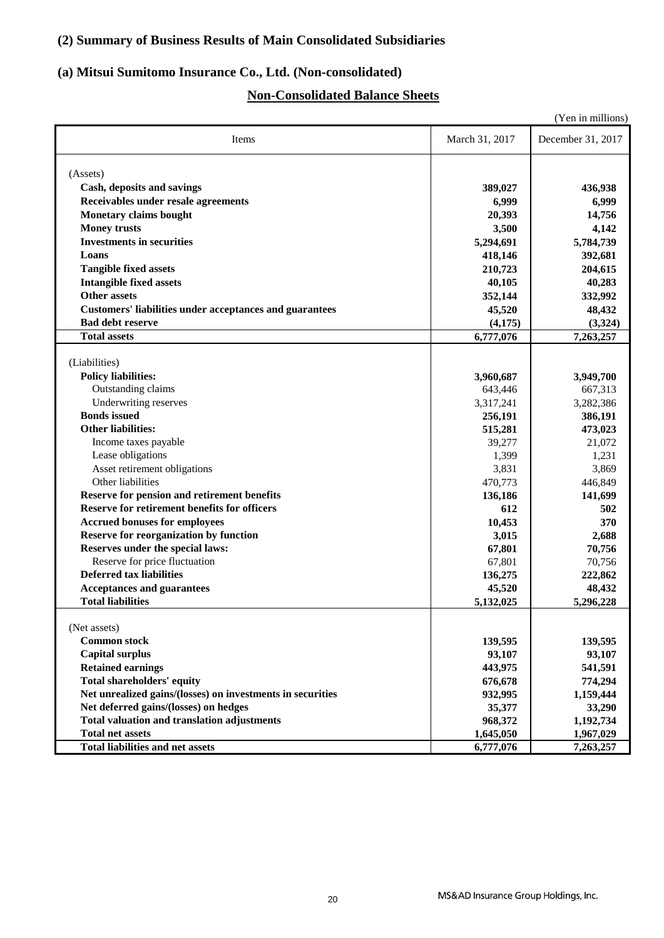## **(2) Summary of Business Results of Main Consolidated Subsidiaries**

## **(a) Mitsui Sumitomo Insurance Co., Ltd. (Non-consolidated)**

## **Non-Consolidated Balance Sheets**

|                                                                                   |                | (Yen in millions) |
|-----------------------------------------------------------------------------------|----------------|-------------------|
| Items                                                                             | March 31, 2017 | December 31, 2017 |
|                                                                                   |                |                   |
| (Assets)                                                                          |                |                   |
| Cash, deposits and savings                                                        | 389,027        | 436,938           |
| Receivables under resale agreements                                               | 6,999          | 6,999             |
| <b>Monetary claims bought</b>                                                     | 20,393         | 14,756            |
| <b>Money trusts</b>                                                               | 3,500          | 4,142             |
| <b>Investments in securities</b>                                                  | 5,294,691      | 5,784,739         |
| Loans                                                                             | 418,146        | 392,681           |
| <b>Tangible fixed assets</b>                                                      | 210,723        | 204,615           |
| <b>Intangible fixed assets</b>                                                    | 40,105         | 40,283            |
| <b>Other assets</b>                                                               | 352,144        | 332,992           |
| <b>Customers' liabilities under acceptances and guarantees</b>                    | 45,520         | 48,432            |
| <b>Bad debt reserve</b>                                                           | (4,175)        | (3,324)           |
| <b>Total assets</b>                                                               | 6,777,076      | 7,263,257         |
|                                                                                   |                |                   |
| (Liabilities)                                                                     |                |                   |
| <b>Policy liabilities:</b>                                                        | 3,960,687      | 3,949,700         |
| Outstanding claims                                                                | 643,446        | 667,313           |
| Underwriting reserves                                                             | 3,317,241      | 3,282,386         |
| <b>Bonds</b> issued                                                               | 256,191        | 386,191           |
| <b>Other liabilities:</b>                                                         | 515,281        | 473,023           |
| Income taxes payable                                                              | 39,277         | 21,072            |
| Lease obligations                                                                 | 1,399          | 1,231             |
| Asset retirement obligations                                                      | 3,831          | 3,869             |
| Other liabilities                                                                 | 470,773        | 446,849           |
| Reserve for pension and retirement benefits                                       | 136,186        | 141,699           |
| Reserve for retirement benefits for officers                                      | 612            | 502               |
| <b>Accrued bonuses for employees</b>                                              |                | 370               |
|                                                                                   | 10,453         |                   |
| <b>Reserve for reorganization by function</b><br>Reserves under the special laws: | 3,015          | 2,688             |
|                                                                                   | 67,801         | 70,756            |
| Reserve for price fluctuation                                                     | 67,801         | 70,756            |
| <b>Deferred tax liabilities</b>                                                   | 136,275        | 222,862           |
| <b>Acceptances and guarantees</b>                                                 | 45,520         | 48,432            |
| <b>Total liabilities</b>                                                          | 5,132,025      | 5,296,228         |
| (Net assets)                                                                      |                |                   |
|                                                                                   |                |                   |
| <b>Common stock</b>                                                               | 139,595        | 139,595           |
| <b>Capital surplus</b>                                                            | 93,107         | 93,107            |
| <b>Retained earnings</b>                                                          | 443,975        | 541,591           |
| Total shareholders' equity                                                        | 676,678        | 774,294           |
| Net unrealized gains/(losses) on investments in securities                        | 932,995        | 1,159,444         |
| Net deferred gains/(losses) on hedges                                             | 35,377         | 33,290            |
| <b>Total valuation and translation adjustments</b>                                | 968,372        | 1,192,734         |
| <b>Total net assets</b>                                                           | 1,645,050      | 1,967,029         |
| <b>Total liabilities and net assets</b>                                           | 6,777,076      | 7,263,257         |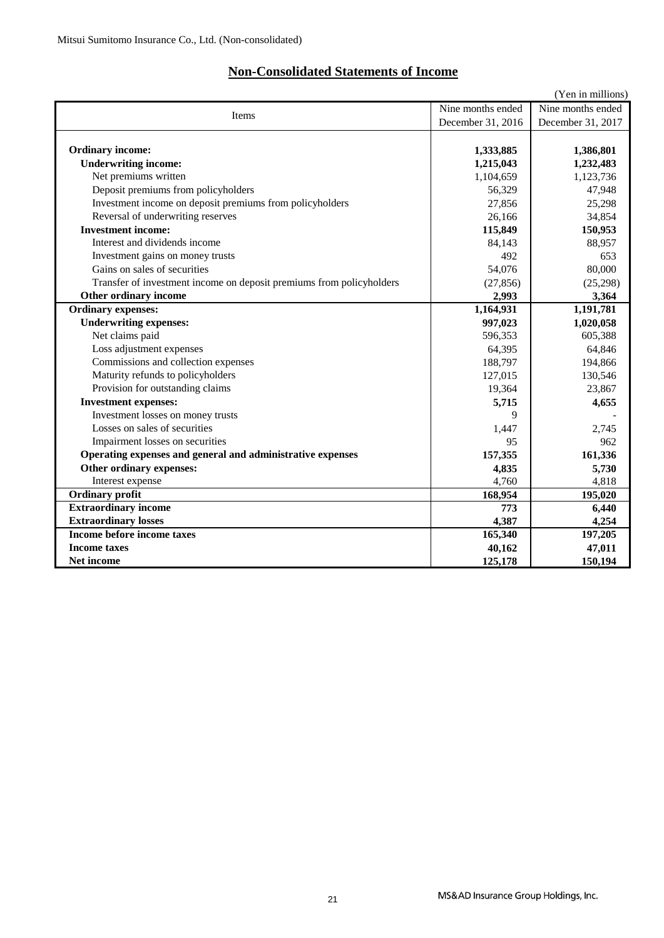## **Non-Consolidated Statements of Income**

|                                                                      |                   | (Yen in millions) |
|----------------------------------------------------------------------|-------------------|-------------------|
| Items                                                                | Nine months ended | Nine months ended |
|                                                                      | December 31, 2016 | December 31, 2017 |
|                                                                      |                   |                   |
| <b>Ordinary income:</b>                                              | 1,333,885         | 1,386,801         |
| <b>Underwriting income:</b>                                          | 1,215,043         | 1,232,483         |
| Net premiums written                                                 | 1,104,659         | 1,123,736         |
| Deposit premiums from policyholders                                  | 56,329            | 47,948            |
| Investment income on deposit premiums from policyholders             | 27,856            | 25,298            |
| Reversal of underwriting reserves                                    | 26,166            | 34,854            |
| <b>Investment income:</b>                                            | 115,849           | 150,953           |
| Interest and dividends income                                        | 84,143            | 88,957            |
| Investment gains on money trusts                                     | 492               | 653               |
| Gains on sales of securities                                         | 54,076            | 80,000            |
| Transfer of investment income on deposit premiums from policyholders | (27, 856)         | (25,298)          |
| Other ordinary income                                                | 2,993             | 3,364             |
| <b>Ordinary expenses:</b>                                            | 1,164,931         | 1,191,781         |
| <b>Underwriting expenses:</b>                                        | 997,023           | 1,020,058         |
| Net claims paid                                                      | 596,353           | 605,388           |
| Loss adjustment expenses                                             | 64,395            | 64,846            |
| Commissions and collection expenses                                  | 188,797           | 194,866           |
| Maturity refunds to policyholders                                    | 127,015           | 130,546           |
| Provision for outstanding claims                                     | 19,364            | 23,867            |
| <b>Investment expenses:</b>                                          | 5,715             | 4,655             |
| Investment losses on money trusts                                    | 9                 |                   |
| Losses on sales of securities                                        | 1,447             | 2.745             |
| Impairment losses on securities                                      | 95                | 962               |
| Operating expenses and general and administrative expenses           | 157,355           | 161,336           |
| Other ordinary expenses:                                             | 4,835             | 5,730             |
| Interest expense                                                     | 4,760             | 4,818             |
| <b>Ordinary profit</b>                                               | 168,954           | 195,020           |
| <b>Extraordinary income</b>                                          | 773               | 6,440             |
| <b>Extraordinary losses</b>                                          | 4.387             | 4,254             |
| Income before income taxes                                           | 165,340           | 197,205           |
| <b>Income taxes</b>                                                  | 40,162            | 47,011            |
| Net income                                                           | 125,178           | 150,194           |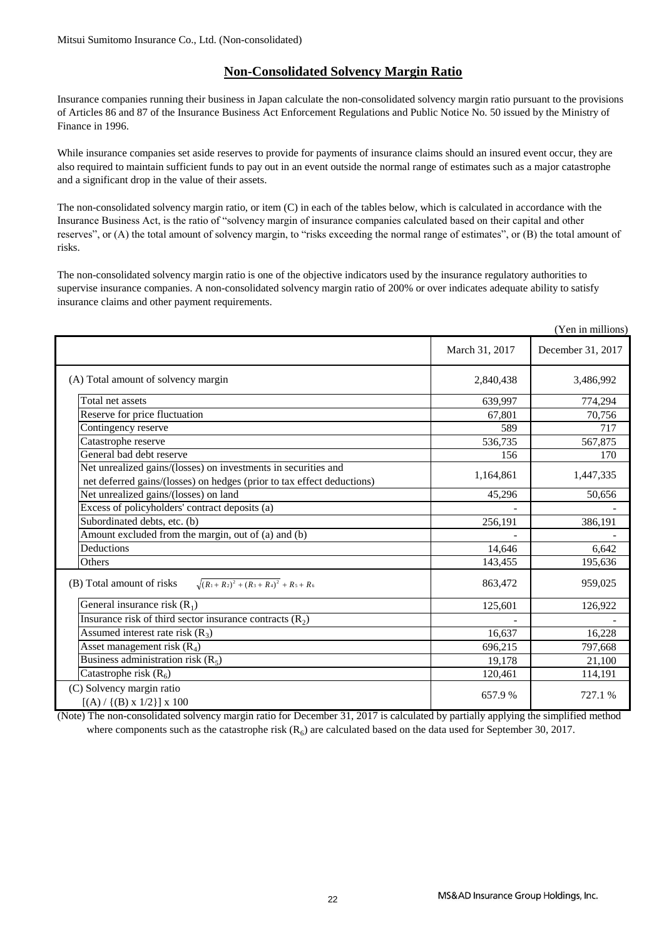### **Non-Consolidated Solvency Margin Ratio**

Insurance companies running their business in Japan calculate the non-consolidated solvency margin ratio pursuant to the provisions of Articles 86 and 87 of the Insurance Business Act Enforcement Regulations and Public Notice No. 50 issued by the Ministry of Finance in 1996.

While insurance companies set aside reserves to provide for payments of insurance claims should an insured event occur, they are also required to maintain sufficient funds to pay out in an event outside the normal range of estimates such as a major catastrophe and a significant drop in the value of their assets.

The non-consolidated solvency margin ratio, or item (C) in each of the tables below, which is calculated in accordance with the Insurance Business Act, is the ratio of "solvency margin of insurance companies calculated based on their capital and other reserves", or (A) the total amount of solvency margin, to "risks exceeding the normal range of estimates", or (B) the total amount of risks.

The non-consolidated solvency margin ratio is one of the objective indicators used by the insurance regulatory authorities to supervise insurance companies. A non-consolidated solvency margin ratio of 200% or over indicates adequate ability to satisfy insurance claims and other payment requirements.

|                                                                                                                                          |                | (Yen in millions) |
|------------------------------------------------------------------------------------------------------------------------------------------|----------------|-------------------|
|                                                                                                                                          | March 31, 2017 | December 31, 2017 |
| (A) Total amount of solvency margin                                                                                                      | 2,840,438      | 3,486,992         |
| Total net assets                                                                                                                         | 639,997        | 774,294           |
| Reserve for price fluctuation                                                                                                            | 67,801         | 70,756            |
| Contingency reserve                                                                                                                      | 589            | 717               |
| Catastrophe reserve                                                                                                                      | 536,735        | 567,875           |
| General bad debt reserve                                                                                                                 | 156            | 170               |
| Net unrealized gains/(losses) on investments in securities and<br>net deferred gains/(losses) on hedges (prior to tax effect deductions) | 1,164,861      | 1,447,335         |
| Net unrealized gains/(losses) on land                                                                                                    | 45,296         | 50,656            |
| Excess of policyholders' contract deposits (a)                                                                                           |                |                   |
| Subordinated debts, etc. (b)                                                                                                             | 256,191        | 386,191           |
| Amount excluded from the margin, out of (a) and (b)                                                                                      |                |                   |
| Deductions                                                                                                                               | 14,646         | 6,642             |
| Others                                                                                                                                   | 143,455        | 195,636           |
| $\sqrt{(R_1+R_2)^2+(R_3+R_4)^2}$ + R <sub>5</sub> + R <sub>6</sub><br>(B) Total amount of risks                                          | 863,472        | 959,025           |
| General insurance risk $(R_1)$                                                                                                           | 125,601        | 126,922           |
| Insurance risk of third sector insurance contracts $(R_2)$                                                                               |                |                   |
| Assumed interest rate risk $(R_3)$                                                                                                       | 16,637         | 16,228            |
| Asset management risk $(R_4)$                                                                                                            | 696,215        | 797,668           |
| Business administration risk $(R_5)$                                                                                                     | 19,178         | 21,100            |
| Catastrophe risk $(R_6)$                                                                                                                 | 120,461        | 114,191           |
| (C) Solvency margin ratio<br>$[(A) / {(B) x 1/2}] x 100$                                                                                 | 657.9%         | 727.1 %           |

(Note) The non-consolidated solvency margin ratio for December 31, 2017 is calculated by partially applying the simplified method where components such as the catastrophe risk  $(R_6)$  are calculated based on the data used for September 30, 2017.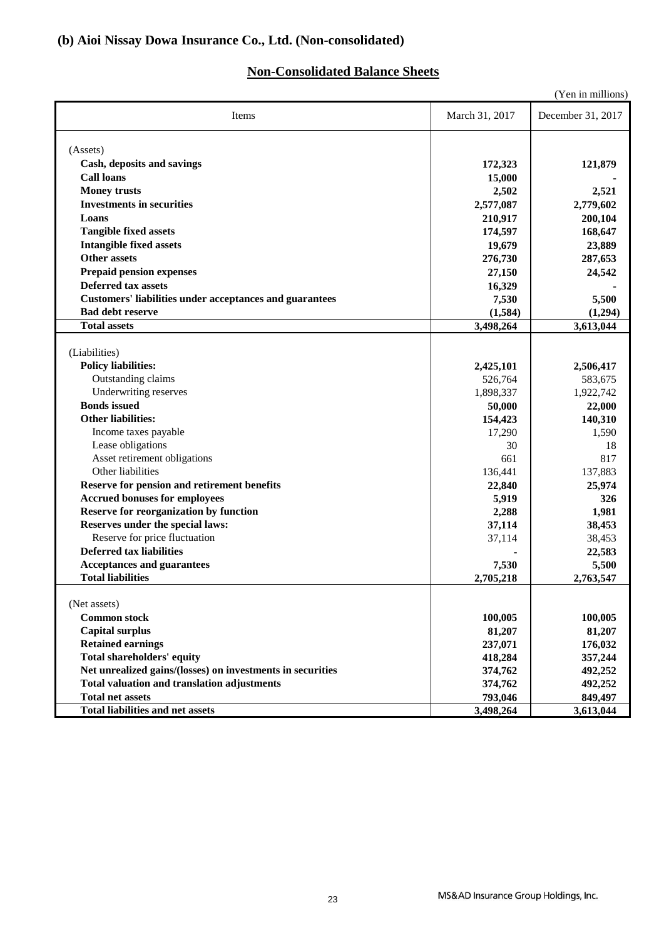## **Non-Consolidated Balance Sheets**

|                                                                |                  | (Yen in millions) |
|----------------------------------------------------------------|------------------|-------------------|
| Items                                                          | March 31, 2017   | December 31, 2017 |
| (Assets)                                                       |                  |                   |
| Cash, deposits and savings                                     | 172,323          | 121,879           |
| <b>Call loans</b>                                              | 15,000           |                   |
| <b>Money trusts</b>                                            | 2,502            | 2,521             |
| <b>Investments in securities</b>                               | 2,577,087        | 2,779,602         |
| Loans                                                          | 210,917          | 200,104           |
| <b>Tangible fixed assets</b>                                   | 174,597          | 168,647           |
| <b>Intangible fixed assets</b>                                 | 19,679           | 23,889            |
| <b>Other assets</b>                                            | 276,730          | 287,653           |
| <b>Prepaid pension expenses</b>                                | 27,150           | 24,542            |
| <b>Deferred tax assets</b>                                     | 16,329           |                   |
| <b>Customers' liabilities under acceptances and guarantees</b> | 7,530            | 5,500             |
| <b>Bad debt reserve</b>                                        | (1,584)          | (1,294)           |
| <b>Total assets</b>                                            | 3,498,264        | 3,613,044         |
|                                                                |                  |                   |
| (Liabilities)                                                  |                  |                   |
| <b>Policy liabilities:</b>                                     | 2,425,101        | 2,506,417         |
| Outstanding claims                                             | 526,764          | 583,675           |
| Underwriting reserves                                          | 1,898,337        | 1,922,742         |
| <b>Bonds</b> issued<br><b>Other liabilities:</b>               | 50,000           | 22,000            |
|                                                                | 154,423          | 140,310           |
| Income taxes payable<br>Lease obligations                      | 17,290<br>30     | 1,590<br>18       |
| Asset retirement obligations                                   | 661              | 817               |
| Other liabilities                                              | 136,441          | 137,883           |
| Reserve for pension and retirement benefits                    |                  |                   |
| <b>Accrued bonuses for employees</b>                           | 22,840<br>5,919  | 25,974<br>326     |
| <b>Reserve for reorganization by function</b>                  | 2,288            | 1,981             |
| Reserves under the special laws:                               |                  | 38,453            |
| Reserve for price fluctuation                                  | 37,114<br>37,114 | 38,453            |
| <b>Deferred tax liabilities</b>                                |                  | 22,583            |
| <b>Acceptances and guarantees</b>                              | 7,530            | 5,500             |
| <b>Total liabilities</b>                                       | 2,705,218        | 2,763,547         |
|                                                                |                  |                   |
| (Net assets)                                                   |                  |                   |
| <b>Common stock</b>                                            | 100,005          | 100,005           |
| <b>Capital surplus</b>                                         | 81,207           | 81,207            |
| <b>Retained earnings</b>                                       | 237,071          | 176,032           |
| <b>Total shareholders' equity</b>                              | 418,284          | 357,244           |
| Net unrealized gains/(losses) on investments in securities     | 374,762          | 492,252           |
| <b>Total valuation and translation adjustments</b>             | 374,762          | 492,252           |
| <b>Total net assets</b>                                        | 793,046          | 849,497           |
| <b>Total liabilities and net assets</b>                        | 3,498,264        | 3,613,044         |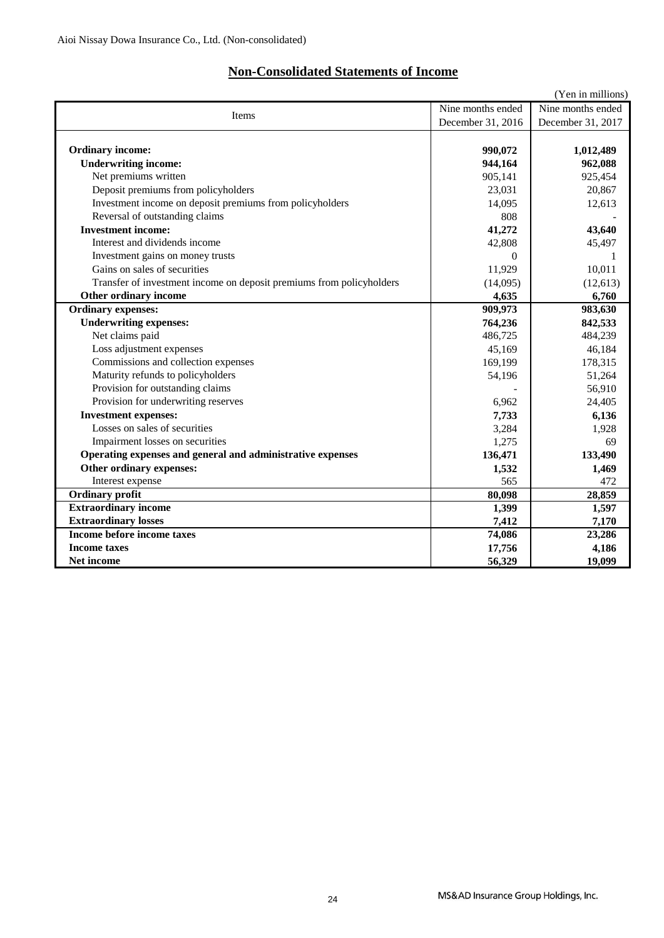## **Non-Consolidated Statements of Income**

|                                                                      |                   | (Yen in millions) |
|----------------------------------------------------------------------|-------------------|-------------------|
| Items                                                                | Nine months ended |                   |
|                                                                      | December 31, 2016 | December 31, 2017 |
|                                                                      |                   |                   |
| <b>Ordinary income:</b>                                              | 990,072           | 1,012,489         |
| <b>Underwriting income:</b>                                          | 944,164           | 962,088           |
| Net premiums written                                                 | 905,141           | 925,454           |
| Deposit premiums from policyholders                                  | 23,031            | 20,867            |
| Investment income on deposit premiums from policyholders             | 14,095            | 12,613            |
| Reversal of outstanding claims                                       | 808               |                   |
| <b>Investment income:</b>                                            | 41,272            | 43,640            |
| Interest and dividends income                                        | 42,808            | 45,497            |
| Investment gains on money trusts                                     | $\Omega$          | 1                 |
| Gains on sales of securities                                         | 11,929            | 10,011            |
| Transfer of investment income on deposit premiums from policyholders | (14,095)          | (12,613)          |
| Other ordinary income                                                | 4,635             | 6,760             |
| <b>Ordinary expenses:</b>                                            | 909,973           | 983,630           |
| <b>Underwriting expenses:</b>                                        | 764,236           | 842,533           |
| Net claims paid                                                      | 486,725           | 484,239           |
| Loss adjustment expenses                                             | 45,169            | 46,184            |
| Commissions and collection expenses                                  | 169,199           | 178,315           |
| Maturity refunds to policyholders                                    | 54,196            | 51,264            |
| Provision for outstanding claims                                     |                   | 56,910            |
| Provision for underwriting reserves                                  | 6,962             | 24,405            |
| <b>Investment expenses:</b>                                          | 7,733             | 6,136             |
| Losses on sales of securities                                        | 3,284             | 1,928             |
| Impairment losses on securities                                      | 1,275             | 69                |
| Operating expenses and general and administrative expenses           | 136,471           | 133,490           |
| Other ordinary expenses:                                             | 1,532             | 1,469             |
| Interest expense                                                     | 565               | 472               |
| <b>Ordinary profit</b>                                               | 80,098            | 28,859            |
| <b>Extraordinary income</b>                                          | 1,399             | 1,597             |
| <b>Extraordinary losses</b>                                          | 7,412             | 7,170             |
| Income before income taxes                                           | 74,086            | 23,286            |
| <b>Income taxes</b>                                                  | 17,756            | 4,186             |
| <b>Net income</b>                                                    | 56,329            | 19,099            |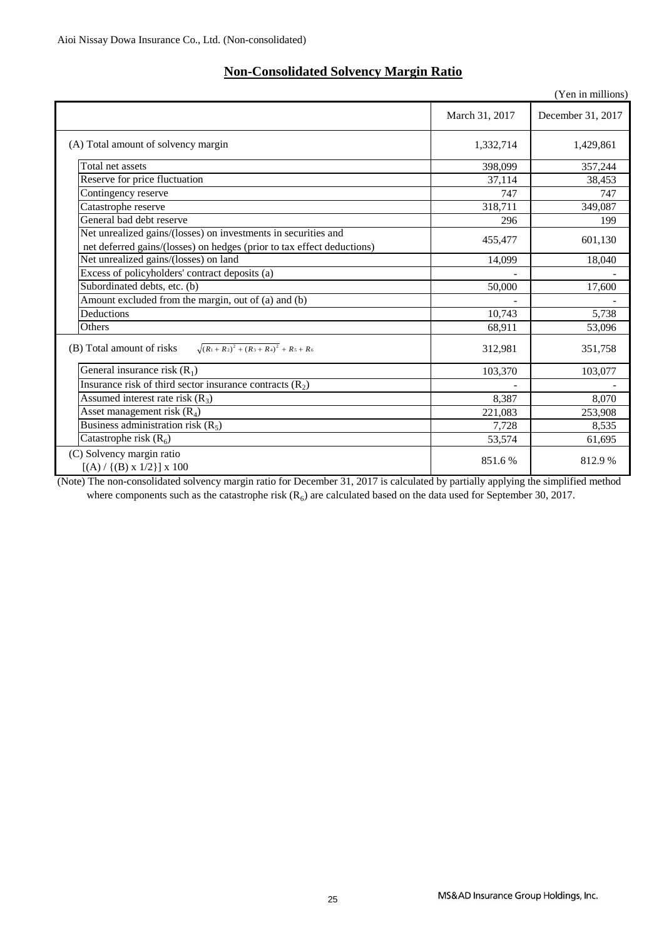$\left[ \left( \mathrm{A}\right) /\left\{ \left( \mathrm{B}\right) \mathrm{x}$  1/2} $\right]$ x 100

|                                                                                                                                          |                | (Yen in millions) |
|------------------------------------------------------------------------------------------------------------------------------------------|----------------|-------------------|
|                                                                                                                                          | March 31, 2017 | December 31, 2017 |
| (A) Total amount of solvency margin                                                                                                      | 1,332,714      | 1,429,861         |
| Total net assets                                                                                                                         | 398,099        | 357,244           |
| Reserve for price fluctuation                                                                                                            | 37,114         | 38,453            |
| Contingency reserve                                                                                                                      | 747            | 747               |
| Catastrophe reserve                                                                                                                      | 318,711        | 349,087           |
| General bad debt reserve                                                                                                                 | 296            | 199               |
| Net unrealized gains/(losses) on investments in securities and<br>net deferred gains/(losses) on hedges (prior to tax effect deductions) | 455,477        | 601,130           |
| Net unrealized gains/(losses) on land                                                                                                    | 14,099         | 18,040            |
| Excess of policyholders' contract deposits (a)                                                                                           |                |                   |
| Subordinated debts, etc. (b)                                                                                                             | 50,000         | 17,600            |
| Amount excluded from the margin, out of (a) and (b)                                                                                      |                |                   |
| Deductions                                                                                                                               | 10,743         | 5,738             |
| Others                                                                                                                                   | 68,911         | 53,096            |
| $\sqrt{(R_1+R_2)^2+(R_3+R_4)^2}$ + $R_5+R_6$<br>(B) Total amount of risks                                                                | 312,981        | 351,758           |
| General insurance risk $(R_1)$                                                                                                           | 103,370        | 103,077           |
| Insurance risk of third sector insurance contracts $(R_2)$                                                                               |                |                   |
| Assumed interest rate risk $(R_3)$                                                                                                       | 8.387          | 8.070             |
| Asset management risk $(R_4)$                                                                                                            | 221,083        | 253,908           |
| Business administration risk $(R_5)$                                                                                                     | 7,728          | 8,535             |
| Catastrophe risk $(R_6)$                                                                                                                 | 53,574         | 61,695            |
| (C) Solvency margin ratio<br>$f(\Lambda) / f(D) = 1/211 = 100$                                                                           | 851.6%         | 812.9%            |

# **Non-Consolidated Solvency Margin Ratio**

(Note) The non-consolidated solvency margin ratio for December 31, 2017 is calculated by partially applying the simplified method where components such as the catastrophe risk  $(R_6)$  are calculated based on the data used for September 30, 2017.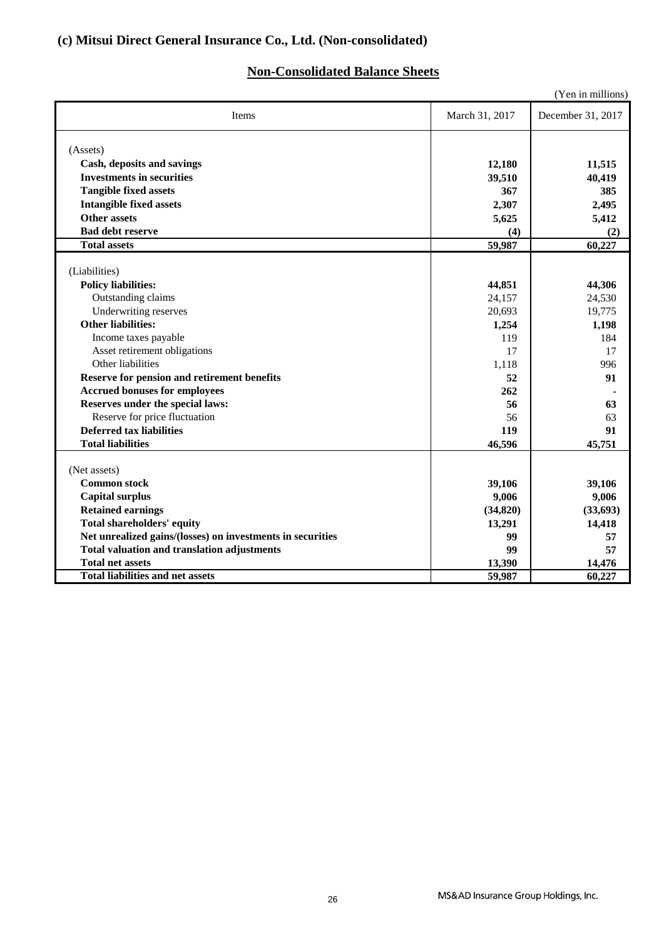## **(c) Mitsui Direct General Insurance Co., Ltd. (Non-consolidated)**

## **Non-Consolidated Balance Sheets**

|                                                            |                | (Yen in millions) |
|------------------------------------------------------------|----------------|-------------------|
| Items                                                      | March 31, 2017 | December 31, 2017 |
| (Assets)                                                   |                |                   |
| Cash, deposits and savings                                 | 12,180         | 11,515            |
| <b>Investments in securities</b>                           | 39,510         | 40,419            |
| <b>Tangible fixed assets</b>                               | 367            | 385               |
| <b>Intangible fixed assets</b>                             | 2,307          | 2,495             |
| <b>Other assets</b>                                        | 5,625          | 5,412             |
| <b>Bad debt reserve</b>                                    | (4)            | (2)               |
| <b>Total assets</b>                                        | 59,987         | 60,227            |
|                                                            |                |                   |
| (Liabilities)                                              |                |                   |
| <b>Policy liabilities:</b>                                 | 44,851         | 44,306            |
| Outstanding claims                                         | 24,157         | 24,530            |
| Underwriting reserves                                      | 20,693         | 19,775            |
| <b>Other liabilities:</b>                                  | 1,254          | 1,198             |
| Income taxes payable                                       | 119            | 184               |
| Asset retirement obligations                               | 17             | 17                |
| Other liabilities                                          | 1,118          | 996               |
| Reserve for pension and retirement benefits                | 52             | 91                |
| <b>Accrued bonuses for employees</b>                       | 262            |                   |
| Reserves under the special laws:                           | 56             | 63                |
| Reserve for price fluctuation                              | 56             | 63                |
| <b>Deferred tax liabilities</b>                            | 119            | 91                |
| <b>Total liabilities</b>                                   | 46,596         | 45,751            |
|                                                            |                |                   |
| (Net assets)                                               |                |                   |
| <b>Common stock</b>                                        | 39,106         | 39,106            |
| <b>Capital surplus</b>                                     | 9,006          | 9,006             |
| <b>Retained earnings</b>                                   | (34, 820)      | (33, 693)         |
| <b>Total shareholders' equity</b>                          | 13,291         | 14,418            |
| Net unrealized gains/(losses) on investments in securities | 99             | 57                |
| <b>Total valuation and translation adjustments</b>         | 99             | 57                |
| <b>Total net assets</b>                                    | 13,390         | 14,476            |
| <b>Total liabilities and net assets</b>                    | 59,987         | 60,227            |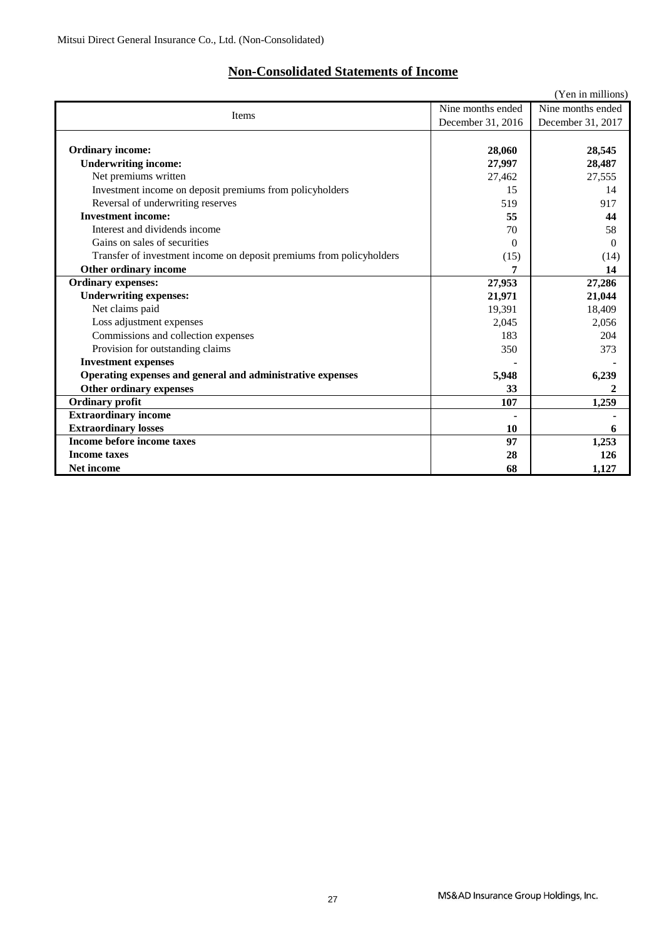## **Non-Consolidated Statements of Income**

|                                                                      |                   | (Yen in millions) |
|----------------------------------------------------------------------|-------------------|-------------------|
|                                                                      | Nine months ended |                   |
| Items                                                                | December 31, 2016 | December 31, 2017 |
|                                                                      |                   |                   |
| <b>Ordinary income:</b>                                              | 28,060            | 28,545            |
| <b>Underwriting income:</b>                                          | 27,997            | 28,487            |
| Net premiums written                                                 | 27,462            | 27,555            |
| Investment income on deposit premiums from policyholders             | 15                | 14                |
| Reversal of underwriting reserves                                    | 519               | 917               |
| <b>Investment income:</b>                                            | 55                | 44                |
| Interest and dividends income                                        | 70                | 58                |
| Gains on sales of securities                                         | 0                 | $\Omega$          |
| Transfer of investment income on deposit premiums from policyholders | (15)              | (14)              |
| Other ordinary income                                                |                   | 14                |
| <b>Ordinary expenses:</b>                                            | 27,953            | 27,286            |
| <b>Underwriting expenses:</b>                                        | 21,971            | 21,044            |
| Net claims paid                                                      | 19,391            | 18,409            |
| Loss adjustment expenses                                             | 2,045             | 2,056             |
| Commissions and collection expenses                                  | 183               | 204               |
| Provision for outstanding claims                                     | 350               | 373               |
| <b>Investment expenses</b>                                           |                   |                   |
| Operating expenses and general and administrative expenses           | 5,948             | 6,239             |
| Other ordinary expenses                                              | 33                | 2                 |
| <b>Ordinary profit</b>                                               | 107               | 1,259             |
| <b>Extraordinary income</b>                                          |                   |                   |
| <b>Extraordinary losses</b>                                          | 10                | 6                 |
| <b>Income before income taxes</b>                                    | 97                | 1,253             |
| <b>Income taxes</b>                                                  | 28                | 126               |
| <b>Net income</b>                                                    | 68                | 1,127             |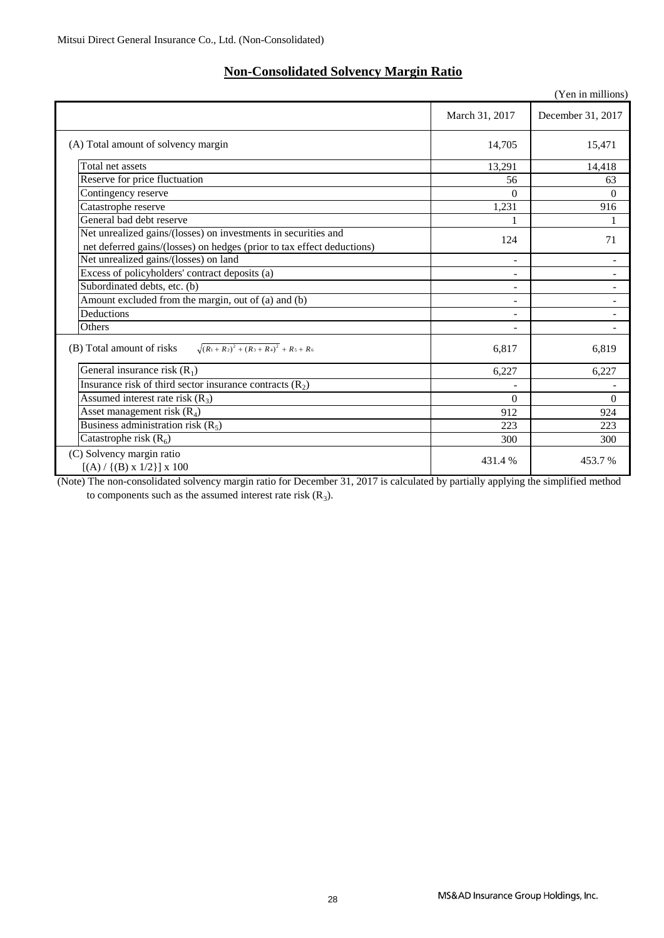## **Non-Consolidated Solvency Margin Ratio**

|                                                                           |                          | (Yen in millions)        |
|---------------------------------------------------------------------------|--------------------------|--------------------------|
|                                                                           | March 31, 2017           | December 31, 2017        |
| (A) Total amount of solvency margin                                       | 14,705                   | 15,471                   |
| Total net assets                                                          | 13,291                   | 14,418                   |
| Reserve for price fluctuation                                             | 56                       | 63                       |
| Contingency reserve                                                       | $\Omega$                 | $\Omega$                 |
| Catastrophe reserve                                                       | 1,231                    | 916                      |
| General bad debt reserve                                                  |                          |                          |
| Net unrealized gains/(losses) on investments in securities and            | 124                      | 71                       |
| net deferred gains/(losses) on hedges (prior to tax effect deductions)    |                          |                          |
| Net unrealized gains/(losses) on land                                     |                          |                          |
| Excess of policyholders' contract deposits (a)                            | $\overline{\phantom{0}}$ | $\overline{\phantom{a}}$ |
| Subordinated debts, etc. (b)                                              | ۰                        | $\overline{\phantom{m}}$ |
| Amount excluded from the margin, out of (a) and (b)                       | ۰                        |                          |
| Deductions                                                                |                          |                          |
| Others                                                                    |                          |                          |
| $\sqrt{(R_1+R_2)^2+(R_3+R_4)^2}$ + $R_5+R_6$<br>(B) Total amount of risks | 6,817                    | 6,819                    |
| General insurance risk $(R_1)$                                            | 6,227                    | 6,227                    |
| Insurance risk of third sector insurance contracts $(R_2)$                |                          |                          |
| Assumed interest rate risk $(R_3)$                                        | $\Omega$                 | $\Omega$                 |
| Asset management risk $(R_4)$                                             | 912                      | 924                      |
| Business administration risk $(R_5)$                                      | 223                      | 223                      |
| Catastrophe risk $(R_6)$                                                  | 300                      | 300                      |
| (C) Solvency margin ratio<br>$[(A) / {(B) x 1/2}] x 100$                  | 431.4 %                  | 453.7 %                  |

(Note) The non-consolidated solvency margin ratio for December 31, 2017 is calculated by partially applying the simplified method to components such as the assumed interest rate risk  $(R_3)$ .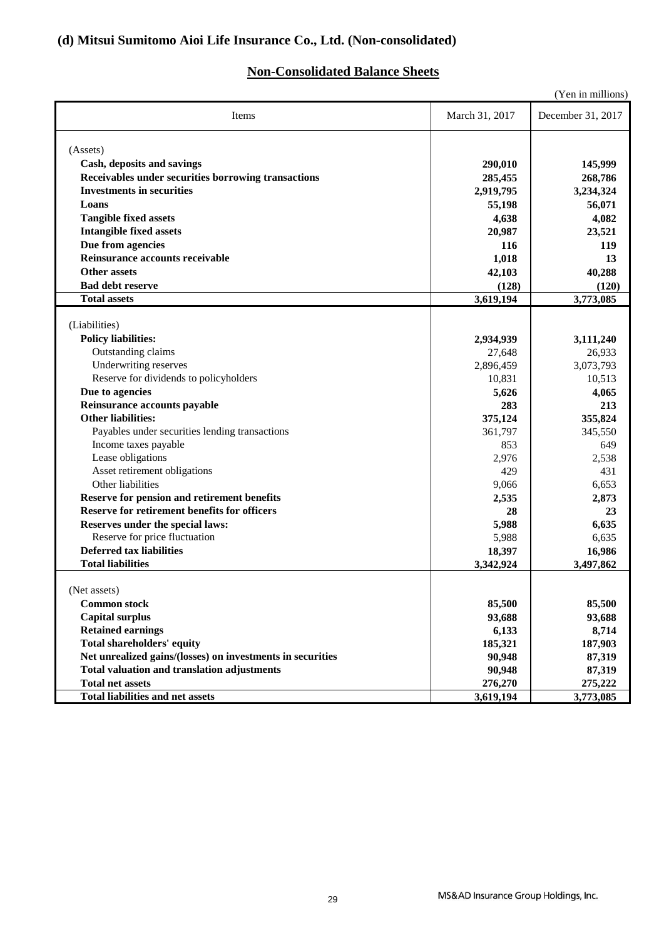## **(d) Mitsui Sumitomo Aioi Life Insurance Co., Ltd. (Non-consolidated)**

## **Non-Consolidated Balance Sheets**

|                                                            |                | (Yen in millions) |
|------------------------------------------------------------|----------------|-------------------|
| Items                                                      | March 31, 2017 | December 31, 2017 |
| (Assets)                                                   |                |                   |
| Cash, deposits and savings                                 | 290,010        | 145,999           |
| Receivables under securities borrowing transactions        | 285,455        | 268,786           |
| <b>Investments in securities</b>                           | 2,919,795      | 3,234,324         |
| Loans                                                      | 55,198         | 56,071            |
| <b>Tangible fixed assets</b>                               | 4,638          | 4,082             |
| <b>Intangible fixed assets</b>                             | 20,987         | 23,521            |
| Due from agencies                                          | 116            | 119               |
| Reinsurance accounts receivable                            | 1,018          | 13                |
| <b>Other assets</b>                                        | 42,103         | 40,288            |
| <b>Bad debt reserve</b>                                    | (128)          | (120)             |
| <b>Total assets</b>                                        | 3,619,194      | 3,773,085         |
|                                                            |                |                   |
| (Liabilities)                                              |                |                   |
| <b>Policy liabilities:</b>                                 | 2,934,939      | 3,111,240         |
| Outstanding claims                                         | 27,648         | 26,933            |
| Underwriting reserves                                      | 2,896,459      | 3,073,793         |
| Reserve for dividends to policyholders                     | 10,831         | 10,513            |
| Due to agencies                                            | 5,626          | 4,065             |
| Reinsurance accounts payable                               | 283            | 213               |
| <b>Other liabilities:</b>                                  | 375,124        | 355,824           |
| Payables under securities lending transactions             | 361,797        | 345,550           |
| Income taxes payable                                       | 853            | 649               |
| Lease obligations                                          | 2,976          | 2,538             |
| Asset retirement obligations                               | 429            | 431               |
| Other liabilities                                          | 9,066          | 6,653             |
| Reserve for pension and retirement benefits                | 2,535          | 2,873             |
| Reserve for retirement benefits for officers               | 28             | 23                |
| Reserves under the special laws:                           | 5,988          | 6,635             |
| Reserve for price fluctuation                              | 5,988          | 6,635             |
| <b>Deferred tax liabilities</b>                            | 18,397         | 16,986            |
| <b>Total liabilities</b>                                   | 3,342,924      | 3,497,862         |
| (Net assets)                                               |                |                   |
| <b>Common stock</b>                                        | 85,500         | 85,500            |
| <b>Capital surplus</b>                                     | 93,688         | 93,688            |
| <b>Retained earnings</b>                                   | 6,133          | 8,714             |
| <b>Total shareholders' equity</b>                          | 185,321        | 187,903           |
| Net unrealized gains/(losses) on investments in securities | 90,948         | 87,319            |
| <b>Total valuation and translation adjustments</b>         | 90,948         | 87,319            |
| <b>Total net assets</b>                                    | 276,270        | 275,222           |
| <b>Total liabilities and net assets</b>                    | 3,619,194      | 3,773,085         |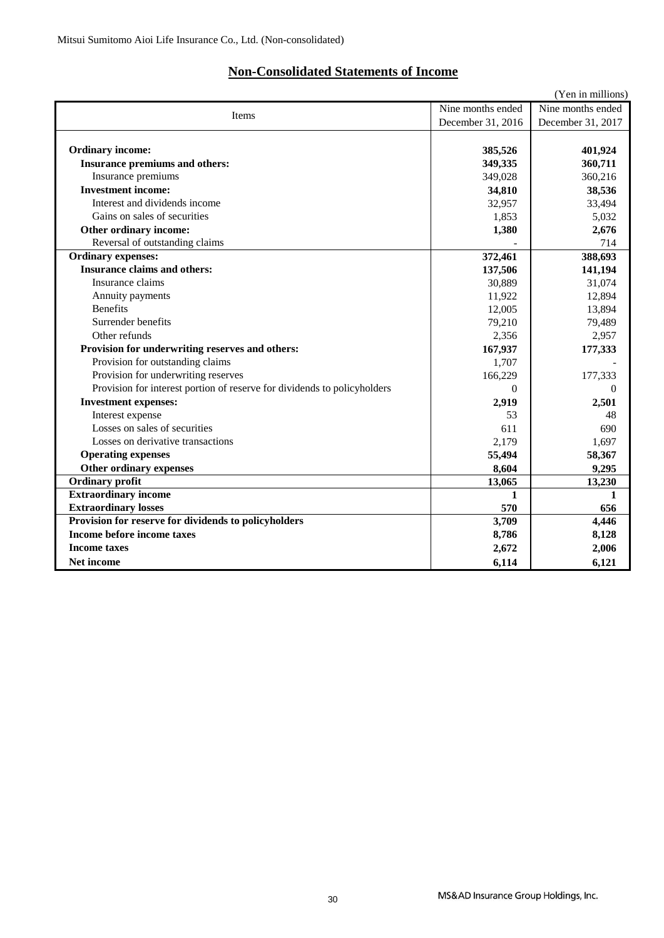## **Non-Consolidated Statements of Income**

|                                                                          |                   | (Yen in millions) |  |  |  |
|--------------------------------------------------------------------------|-------------------|-------------------|--|--|--|
| Nine months ended<br>Nine months ended<br><b>Items</b>                   |                   |                   |  |  |  |
|                                                                          | December 31, 2016 | December 31, 2017 |  |  |  |
|                                                                          |                   |                   |  |  |  |
| <b>Ordinary income:</b>                                                  | 385,526           | 401,924           |  |  |  |
| Insurance premiums and others:                                           | 349,335           | 360,711           |  |  |  |
| Insurance premiums                                                       | 349.028           | 360,216           |  |  |  |
| <b>Investment income:</b>                                                | 34,810            | 38,536            |  |  |  |
| Interest and dividends income                                            | 32,957            | 33,494            |  |  |  |
| Gains on sales of securities                                             | 1,853             | 5,032             |  |  |  |
| Other ordinary income:                                                   | 1,380             | 2,676             |  |  |  |
| Reversal of outstanding claims                                           |                   | 714               |  |  |  |
| <b>Ordinary expenses:</b>                                                | 372,461           | 388,693           |  |  |  |
| <b>Insurance claims and others:</b>                                      | 137,506           | 141,194           |  |  |  |
| Insurance claims                                                         | 30,889            | 31,074            |  |  |  |
| Annuity payments                                                         | 11,922            | 12,894            |  |  |  |
| <b>Benefits</b>                                                          | 12,005            | 13,894            |  |  |  |
| Surrender benefits                                                       | 79,210            | 79,489            |  |  |  |
| Other refunds                                                            | 2,356             | 2,957             |  |  |  |
| Provision for underwriting reserves and others:                          | 167,937           | 177,333           |  |  |  |
| Provision for outstanding claims                                         | 1,707             |                   |  |  |  |
| Provision for underwriting reserves                                      | 166,229           | 177,333           |  |  |  |
| Provision for interest portion of reserve for dividends to policyholders | $\Omega$          | $\Omega$          |  |  |  |
| <b>Investment expenses:</b>                                              | 2,919             | 2,501             |  |  |  |
| Interest expense                                                         | 53                | 48                |  |  |  |
| Losses on sales of securities                                            | 611               | 690               |  |  |  |
| Losses on derivative transactions                                        | 2,179             | 1,697             |  |  |  |
| <b>Operating expenses</b>                                                | 55,494            | 58,367            |  |  |  |
| Other ordinary expenses                                                  | 8,604             | 9,295             |  |  |  |
| <b>Ordinary profit</b>                                                   | 13,065            | 13,230            |  |  |  |
| <b>Extraordinary income</b>                                              | 1                 | 1                 |  |  |  |
| <b>Extraordinary losses</b>                                              | 570               | 656               |  |  |  |
| Provision for reserve for dividends to policyholders                     | 3,709             | 4,446             |  |  |  |
| Income before income taxes                                               | 8,786             | 8,128             |  |  |  |
| <b>Income taxes</b>                                                      | 2,672             | 2,006             |  |  |  |
| Net income                                                               | 6,114             | 6,121             |  |  |  |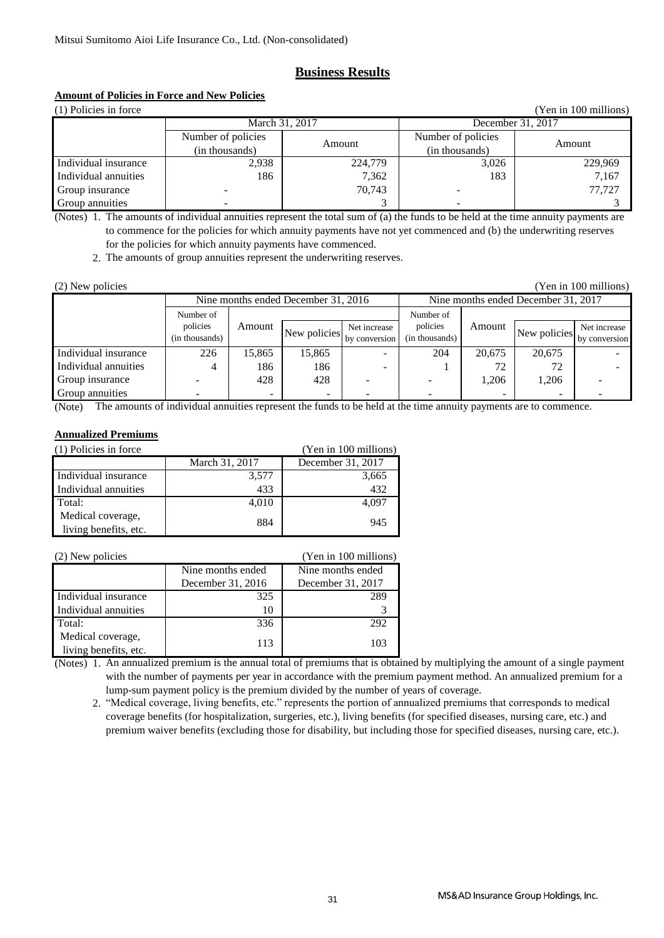### **Business Results**

### **Amount of Policies in Force and New Policies**

| (1) Policies in force<br>(Yen in 100 millions) |                    |         |                    |         |
|------------------------------------------------|--------------------|---------|--------------------|---------|
| March 31, 2017                                 |                    |         | December 31, 2017  |         |
|                                                | Number of policies | Amount  | Number of policies | Amount  |
|                                                | (in thousands)     |         | (in thousands)     |         |
| Individual insurance                           | 2,938              | 224,779 | 3.026              | 229,969 |
| Individual annuities                           | 186                | 7,362   | 183                | 7,167   |
| Group insurance                                |                    | 70.743  |                    | 77,727  |
| Group annuities                                |                    |         |                    |         |

(Notes) 1. The amounts of individual annuities represent the total sum of (a) the funds to be held at the time annuity payments are to commence for the policies for which annuity payments have not yet commenced and (b) the underwriting reserves for the policies for which annuity payments have commenced.

2. The amounts of group annuities represent the underwriting reserves.

| (2) New policies                    |                          |                          |              |               |                |                                     |              | (Yen in 100 millions) |
|-------------------------------------|--------------------------|--------------------------|--------------|---------------|----------------|-------------------------------------|--------------|-----------------------|
| Nine months ended December 31, 2016 |                          |                          |              |               |                | Nine months ended December 31, 2017 |              |                       |
|                                     | Number of                |                          |              |               | Number of      |                                     |              |                       |
|                                     | policies                 | Amount                   | New policies | Net increase  | policies       | Amount                              | New policies | Net increase          |
|                                     | (in thousands)           |                          |              | by conversion | (in thousands) |                                     |              | by conversion         |
| Individual insurance                | 226                      | 15,865                   | 15,865       |               | 204            | 20.675                              | 20,675       |                       |
| Individual annuities                | 4                        | 186                      | 186          |               |                | 72                                  | 72           |                       |
| Group insurance                     |                          | 428                      | 428          |               |                | 1.206                               | 1.206        |                       |
| Group annuities                     | $\overline{\phantom{0}}$ | $\overline{\phantom{0}}$ | -            |               |                | $\overline{\phantom{a}}$            | ۰            |                       |

(Note) The amounts of individual annuities represent the funds to be held at the time annuity payments are to commence.

### **Annualized Premiums**

| (1) Policies in force<br>(Yen in 100 millions) |                |                   |  |  |
|------------------------------------------------|----------------|-------------------|--|--|
|                                                | March 31, 2017 | December 31, 2017 |  |  |
| Individual insurance                           | 3,577          | 3,665             |  |  |
| Individual annuities                           | 433            | 432               |  |  |
| Total:                                         | 4,010          | 4,097             |  |  |
| Medical coverage,                              | 884            | 945               |  |  |
| living benefits, etc.                          |                |                   |  |  |

| (2) New policies                           |                   | (Yen in 100 millions) |
|--------------------------------------------|-------------------|-----------------------|
|                                            | Nine months ended | Nine months ended     |
|                                            | December 31, 2016 | December 31, 2017     |
| Individual insurance                       | 325               | 289                   |
| Individual annuities                       | 10                |                       |
| Total:                                     | 336               | 292                   |
| Medical coverage,<br>living benefits, etc. | 113               | 103                   |

(Notes) 1. An annualized premium is the annual total of premiums that is obtained by multiplying the amount of a single payment with the number of payments per year in accordance with the premium payment method. An annualized premium for a lump-sum payment policy is the premium divided by the number of years of coverage.

 2. "Medical coverage, living benefits, etc." represents the portion of annualized premiums that corresponds to medical coverage benefits (for hospitalization, surgeries, etc.), living benefits (for specified diseases, nursing care, etc.) and premium waiver benefits (excluding those for disability, but including those for specified diseases, nursing care, etc.).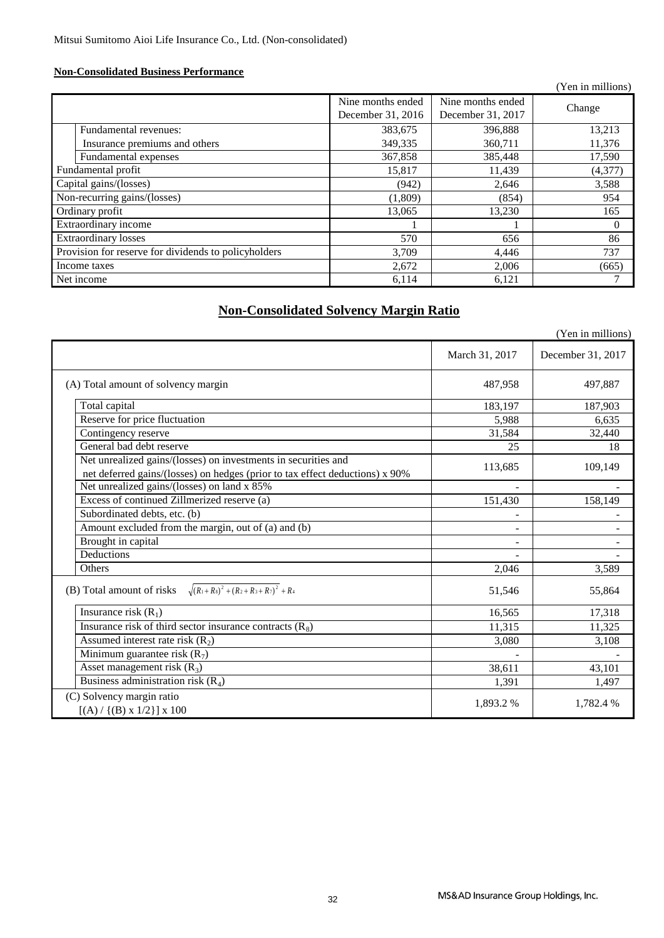### **Non-Consolidated Business Performance**

|                                                      |                                        |                                        | (Yen in millions) |
|------------------------------------------------------|----------------------------------------|----------------------------------------|-------------------|
|                                                      | Nine months ended<br>December 31, 2016 | Nine months ended<br>December 31, 2017 | Change            |
| Fundamental revenues:                                | 383,675                                | 396,888                                | 13,213            |
| Insurance premiums and others                        | 349,335                                | 360,711                                | 11,376            |
| Fundamental expenses                                 | 367,858                                | 385,448                                | 17,590            |
| Fundamental profit                                   | 15,817                                 | 11,439                                 | (4,377)           |
| Capital gains/(losses)                               | (942)                                  | 2.646                                  | 3,588             |
| Non-recurring gains/(losses)                         | (1,809)                                | (854)                                  | 954               |
| Ordinary profit                                      | 13,065                                 | 13,230                                 | 165               |
| Extraordinary income                                 |                                        |                                        | $\Omega$          |
| <b>Extraordinary losses</b>                          | 570                                    | 656                                    | 86                |
| Provision for reserve for dividends to policyholders | 3,709                                  | 4,446                                  | 737               |
| Income taxes                                         | 2,672                                  | 2,006                                  | (665)             |
| Net income                                           | 6,114                                  | 6,121                                  |                   |

## **Non-Consolidated Solvency Margin Ratio**

|                                                                                                                                                |                | (Yen in millions) |
|------------------------------------------------------------------------------------------------------------------------------------------------|----------------|-------------------|
|                                                                                                                                                | March 31, 2017 | December 31, 2017 |
| (A) Total amount of solvency margin                                                                                                            | 487,958        | 497,887           |
| Total capital                                                                                                                                  | 183,197        | 187,903           |
| Reserve for price fluctuation                                                                                                                  | 5,988          | 6,635             |
| Contingency reserve                                                                                                                            | 31,584         | 32,440            |
| General bad debt reserve                                                                                                                       | 25             | 18                |
| Net unrealized gains/(losses) on investments in securities and<br>net deferred gains/(losses) on hedges (prior to tax effect deductions) x 90% | 113,685        | 109,149           |
| Net unrealized gains/(losses) on land x 85%                                                                                                    | $\sim$         |                   |
| Excess of continued Zillmerized reserve (a)                                                                                                    | 151,430        | 158,149           |
| Subordinated debts, etc. (b)                                                                                                                   |                |                   |
| Amount excluded from the margin, out of (a) and (b)                                                                                            |                |                   |
| Brought in capital                                                                                                                             |                |                   |
| Deductions                                                                                                                                     |                |                   |
| Others                                                                                                                                         | 2,046          | 3,589             |
| (B) Total amount of risks $\sqrt{(R_1+R_3)^2+(R_2+R_3+R_7)^2}$ + R <sub>4</sub>                                                                | 51,546         | 55,864            |
| Insurance risk $(R_1)$                                                                                                                         | 16,565         | 17,318            |
| Insurance risk of third sector insurance contracts $(R_8)$                                                                                     | 11,315         | 11,325            |
| Assumed interest rate risk $(R_2)$                                                                                                             | 3,080          | 3,108             |
| Minimum guarantee risk $(R_7)$                                                                                                                 |                |                   |
| Asset management risk $(R_3)$                                                                                                                  | 38,611         | 43,101            |
| Business administration risk $(R_4)$                                                                                                           | 1,391          | 1,497             |
| (C) Solvency margin ratio<br>$[(A) / {(B) x 1/2}] x 100$                                                                                       | 1,893.2%       | 1,782.4 %         |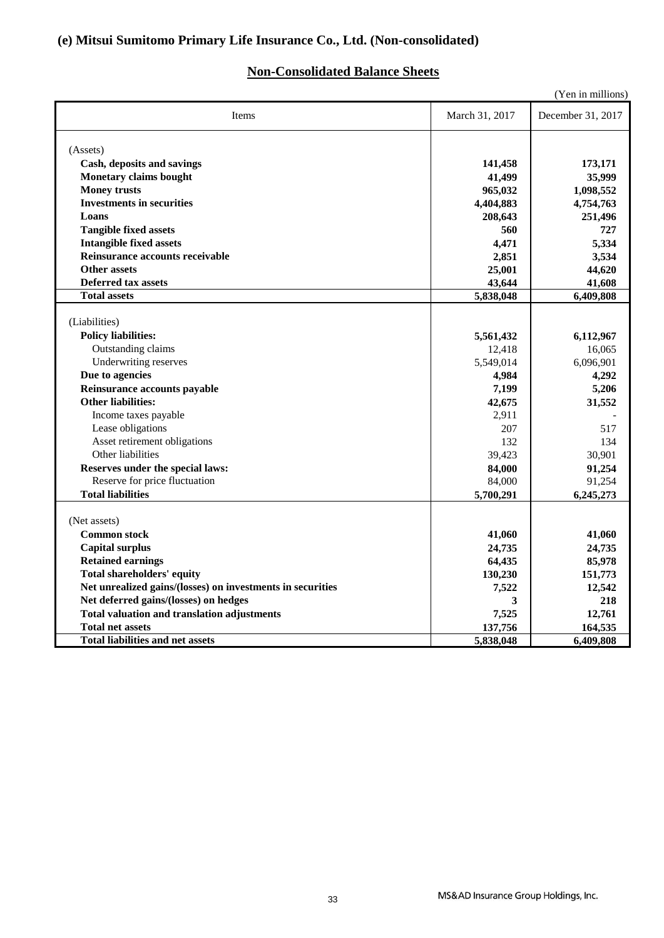## **(e) Mitsui Sumitomo Primary Life Insurance Co., Ltd. (Non-consolidated)**

## **Non-Consolidated Balance Sheets**

| (Yen in millions)                                          |                |                   |  |
|------------------------------------------------------------|----------------|-------------------|--|
| Items                                                      | March 31, 2017 | December 31, 2017 |  |
| (Assets)                                                   |                |                   |  |
| Cash, deposits and savings                                 | 141,458        | 173,171           |  |
| Monetary claims bought                                     | 41,499         | 35,999            |  |
| <b>Money trusts</b>                                        | 965,032        | 1,098,552         |  |
| <b>Investments in securities</b>                           | 4,404,883      | 4,754,763         |  |
| Loans                                                      | 208,643        | 251,496           |  |
| <b>Tangible fixed assets</b>                               | 560            | 727               |  |
| <b>Intangible fixed assets</b>                             | 4,471          | 5,334             |  |
| Reinsurance accounts receivable                            | 2,851          | 3,534             |  |
| <b>Other assets</b>                                        | 25,001         | 44,620            |  |
| <b>Deferred tax assets</b>                                 | 43,644         | 41,608            |  |
| <b>Total assets</b>                                        | 5,838,048      | 6,409,808         |  |
|                                                            |                |                   |  |
| (Liabilities)                                              |                |                   |  |
| <b>Policy liabilities:</b>                                 | 5,561,432      | 6,112,967         |  |
| Outstanding claims                                         | 12,418         | 16,065            |  |
| Underwriting reserves                                      | 5,549,014      | 6,096,901         |  |
| Due to agencies                                            | 4,984          | 4,292             |  |
| Reinsurance accounts payable                               | 7,199          | 5,206             |  |
| <b>Other liabilities:</b>                                  | 42,675         | 31,552            |  |
| Income taxes payable                                       | 2,911          |                   |  |
| Lease obligations                                          | 207            | 517               |  |
| Asset retirement obligations                               | 132            | 134               |  |
| Other liabilities                                          | 39,423         | 30,901            |  |
| Reserves under the special laws:                           | 84,000         | 91,254            |  |
| Reserve for price fluctuation                              | 84,000         | 91,254            |  |
| <b>Total liabilities</b>                                   | 5,700,291      | 6,245,273         |  |
|                                                            |                |                   |  |
| (Net assets)                                               |                |                   |  |
| <b>Common stock</b>                                        | 41,060         | 41,060            |  |
| <b>Capital surplus</b>                                     | 24,735         | 24,735            |  |
| <b>Retained earnings</b>                                   | 64,435         | 85,978            |  |
| <b>Total shareholders' equity</b>                          | 130,230        | 151,773           |  |
| Net unrealized gains/(losses) on investments in securities | 7,522          | 12,542            |  |
| Net deferred gains/(losses) on hedges                      | 3              | 218               |  |
| <b>Total valuation and translation adjustments</b>         | 7,525          | 12,761            |  |
| <b>Total net assets</b>                                    | 137,756        | 164,535           |  |
| <b>Total liabilities and net assets</b>                    | 5,838,048      | 6,409,808         |  |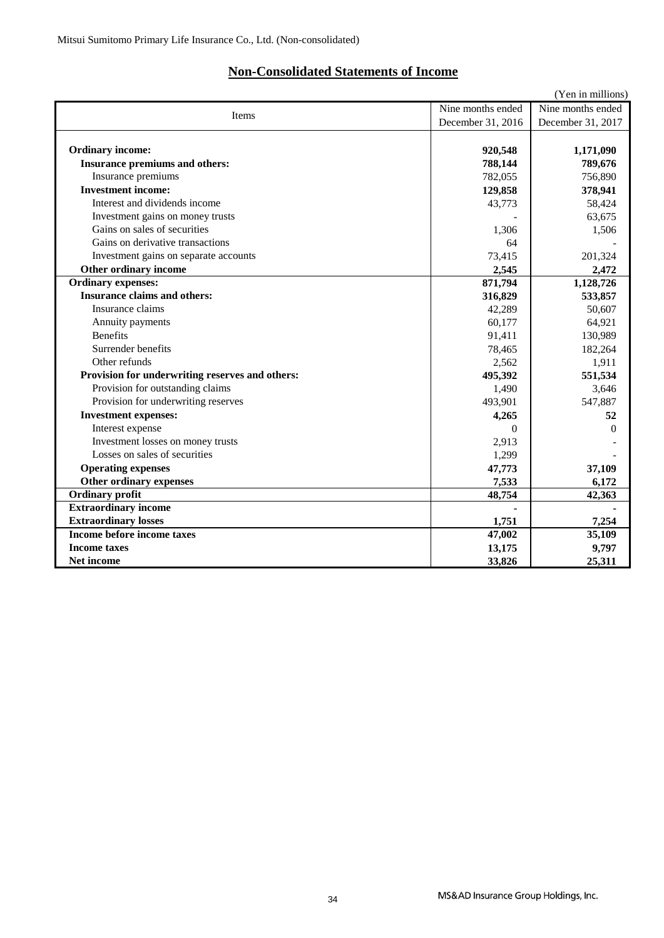## **Non-Consolidated Statements of Income**

|                                                 |                   | (Yen in millions) |
|-------------------------------------------------|-------------------|-------------------|
| Items                                           | Nine months ended | Nine months ended |
|                                                 | December 31, 2016 | December 31, 2017 |
|                                                 |                   |                   |
| <b>Ordinary income:</b>                         | 920,548           | 1,171,090         |
| Insurance premiums and others:                  | 788,144           | 789,676           |
| Insurance premiums                              | 782,055           | 756,890           |
| <b>Investment income:</b>                       | 129,858           | 378,941           |
| Interest and dividends income                   | 43,773            | 58,424            |
| Investment gains on money trusts                |                   | 63,675            |
| Gains on sales of securities                    | 1.306             | 1,506             |
| Gains on derivative transactions                | 64                |                   |
| Investment gains on separate accounts           | 73,415            | 201,324           |
| Other ordinary income                           | 2,545             | 2,472             |
| <b>Ordinary expenses:</b>                       | 871,794           | 1,128,726         |
| <b>Insurance claims and others:</b>             | 316,829           | 533,857           |
| Insurance claims                                | 42,289            | 50,607            |
| Annuity payments                                | 60,177            | 64,921            |
| <b>Benefits</b>                                 | 91,411            | 130,989           |
| Surrender benefits                              | 78,465            | 182,264           |
| Other refunds                                   | 2,562             | 1,911             |
| Provision for underwriting reserves and others: | 495,392           | 551,534           |
| Provision for outstanding claims                | 1,490             | 3,646             |
| Provision for underwriting reserves             | 493,901           | 547,887           |
| <b>Investment expenses:</b>                     | 4,265             | 52                |
| Interest expense                                | $\Omega$          | 0                 |
| Investment losses on money trusts               | 2,913             |                   |
| Losses on sales of securities                   | 1,299             |                   |
| <b>Operating expenses</b>                       | 47,773            | 37,109            |
| Other ordinary expenses                         | 7,533             | 6,172             |
| <b>Ordinary profit</b>                          | 48,754            | 42,363            |
| <b>Extraordinary income</b>                     |                   |                   |
| <b>Extraordinary losses</b>                     | 1,751             | 7,254             |
| Income before income taxes                      | 47,002            | 35,109            |
| <b>Income taxes</b>                             | 13,175            | 9,797             |
| Net income                                      | 33,826            | 25,311            |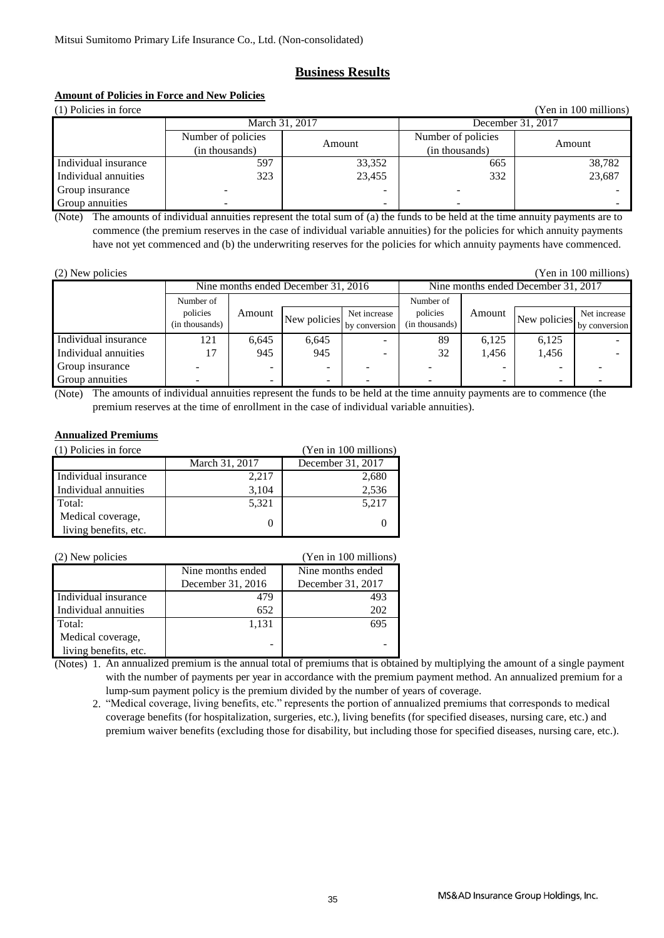### **Business Results**

### **Amount of Policies in Force and New Policies**

(1) Policies in force (Yen in 100 millions) Amount Multiple of policies Amount Individual insurance Individual annuities Group insurance 323 23,455 332 23,687 - - - - Group annuities - - - - March 31, 2017 **December 31, 2017** Number of policies (in thousands) Number of policies (in thousands) 597 33,352 665 38,782

(Note) The amounts of individual annuities represent the total sum of (a) the funds to be held at the time annuity payments are to commence (the premium reserves in the case of individual variable annuities) for the policies for which annuity payments have not yet commenced and (b) the underwriting reserves for the policies for which annuity payments have commenced.

(2) New policies (Yen in 100 millions)

|                      | Nine months ended December 31, 2016 |        |                                   | Nine months ended December 31, 2017 |                    |                          |              |               |
|----------------------|-------------------------------------|--------|-----------------------------------|-------------------------------------|--------------------|--------------------------|--------------|---------------|
|                      | Number of                           |        |                                   |                                     | Number of          |                          |              |               |
|                      | policies                            | Amount |                                   | Net increase                        | policies<br>Amount | New policies             | Net increase |               |
|                      | (in thousands)                      |        | New policies by conversion $\int$ |                                     | (in thousands)     |                          |              | by conversion |
| Individual insurance | 121                                 | 6.645  | 6,645                             |                                     | 89                 | 6,125                    | 6,125        |               |
| Individual annuities | 17                                  | 945    | 945                               |                                     | 32                 | 1,456                    | 1,456        |               |
| Group insurance      |                                     |        |                                   |                                     |                    |                          |              |               |
| Group annuities      |                                     | -      | -                                 |                                     |                    | $\overline{\phantom{0}}$ | ۰            |               |

(Note) The amounts of individual annuities represent the funds to be held at the time annuity payments are to commence (the premium reserves at the time of enrollment in the case of individual variable annuities).

### **Annualized Premiums**

| (1) Policies in force | (Yen in 100 millions) |                   |
|-----------------------|-----------------------|-------------------|
|                       | March 31, 2017        | December 31, 2017 |
| Individual insurance  | 2,217                 | 2,680             |
| Individual annuities  | 3,104                 | 2,536             |
| Total:                | 5,321                 | 5,217             |
| Medical coverage,     |                       |                   |
| living benefits, etc. |                       |                   |

| (2) New policies      |                   | (Yen in 100 millions) |
|-----------------------|-------------------|-----------------------|
|                       | Nine months ended | Nine months ended     |
|                       | December 31, 2016 | December 31, 2017     |
| Individual insurance  | 479               | 493                   |
| Individual annuities  | 652               | 202                   |
| Total:                | 1,131             | 695                   |
| Medical coverage,     |                   |                       |
| living benefits, etc. |                   |                       |

(Notes) 1. An annualized premium is the annual total of premiums that is obtained by multiplying the amount of a single payment with the number of payments per year in accordance with the premium payment method. An annualized premium for a lump-sum payment policy is the premium divided by the number of years of coverage.

 2. "Medical coverage, living benefits, etc." represents the portion of annualized premiums that corresponds to medical coverage benefits (for hospitalization, surgeries, etc.), living benefits (for specified diseases, nursing care, etc.) and premium waiver benefits (excluding those for disability, but including those for specified diseases, nursing care, etc.).